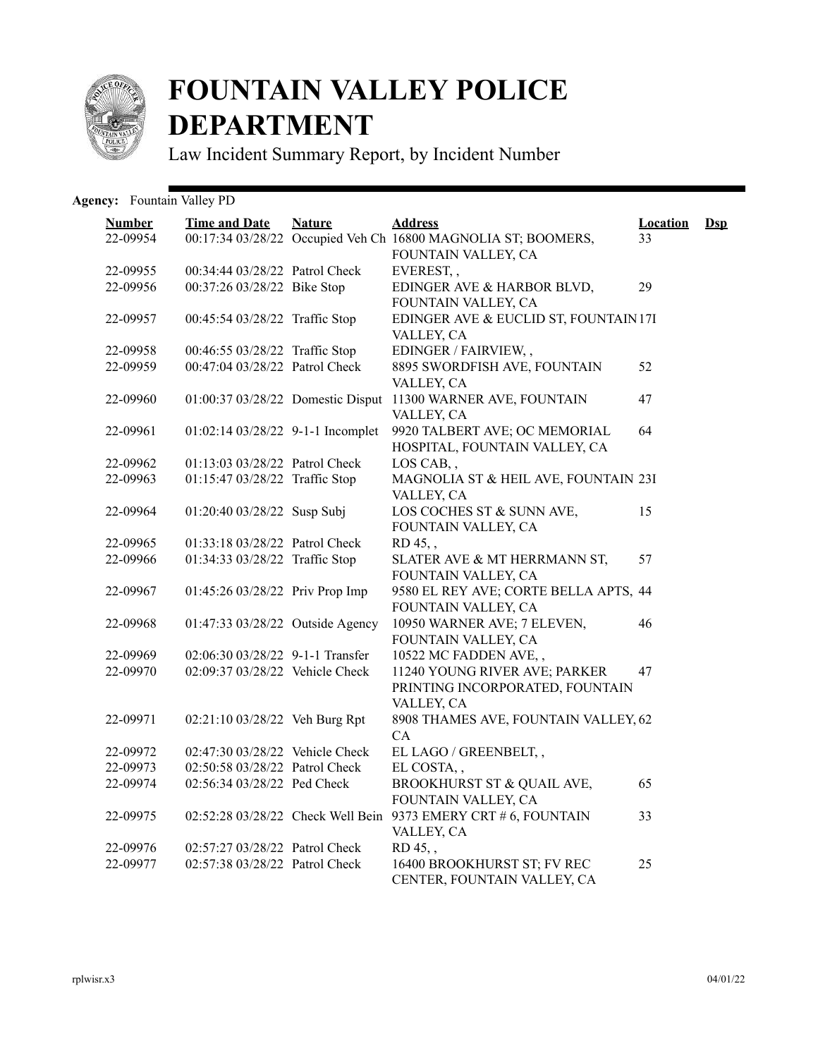

## **FOUNTAIN VALLEY POLICE DEPARTMENT**

Law Incident Summary Report, by Incident Number

## Agency: Fountain Valley PD

| <b>Number</b> | <b>Time and Date</b>              | <b>Nature</b> | <b>Address</b>                                                                       | <b>Location</b> | <b>D</b> sp |
|---------------|-----------------------------------|---------------|--------------------------------------------------------------------------------------|-----------------|-------------|
| 22-09954      |                                   |               | 00:17:34 03/28/22 Occupied Veh Ch 16800 MAGNOLIA ST; BOOMERS,<br>FOUNTAIN VALLEY, CA | 33              |             |
| 22-09955      | 00:34:44 03/28/22 Patrol Check    |               | EVEREST,,                                                                            |                 |             |
| 22-09956      | 00:37:26 03/28/22 Bike Stop       |               | EDINGER AVE & HARBOR BLVD,                                                           | 29              |             |
|               |                                   |               | FOUNTAIN VALLEY, CA                                                                  |                 |             |
| 22-09957      | 00:45:54 03/28/22 Traffic Stop    |               | EDINGER AVE & EUCLID ST, FOUNTAIN 17I                                                |                 |             |
|               |                                   |               | VALLEY, CA                                                                           |                 |             |
| 22-09958      | 00:46:55 03/28/22 Traffic Stop    |               | EDINGER / FAIRVIEW,,                                                                 |                 |             |
| 22-09959      | 00:47:04 03/28/22 Patrol Check    |               | 8895 SWORDFISH AVE, FOUNTAIN                                                         | 52              |             |
|               |                                   |               | VALLEY, CA                                                                           |                 |             |
| 22-09960      |                                   |               | 01:00:37 03/28/22 Domestic Disput 11300 WARNER AVE, FOUNTAIN                         | 47              |             |
|               |                                   |               | VALLEY, CA                                                                           |                 |             |
| 22-09961      | 01:02:14 03/28/22 9-1-1 Incomplet |               | 9920 TALBERT AVE; OC MEMORIAL                                                        | 64              |             |
|               |                                   |               | HOSPITAL, FOUNTAIN VALLEY, CA                                                        |                 |             |
| 22-09962      | 01:13:03 03/28/22 Patrol Check    |               | LOS CAB,,                                                                            |                 |             |
| 22-09963      | 01:15:47 03/28/22 Traffic Stop    |               | MAGNOLIA ST & HEIL AVE, FOUNTAIN 23I                                                 |                 |             |
|               |                                   |               | VALLEY, CA                                                                           |                 |             |
| 22-09964      | 01:20:40 03/28/22 Susp Subj       |               | LOS COCHES ST & SUNN AVE,                                                            | 15              |             |
|               |                                   |               | FOUNTAIN VALLEY, CA                                                                  |                 |             |
| 22-09965      | 01:33:18 03/28/22 Patrol Check    |               | RD 45,,                                                                              |                 |             |
| 22-09966      | 01:34:33 03/28/22 Traffic Stop    |               | SLATER AVE & MT HERRMANN ST,                                                         | 57              |             |
|               |                                   |               | FOUNTAIN VALLEY, CA                                                                  |                 |             |
| 22-09967      | 01:45:26 03/28/22 Priv Prop Imp   |               | 9580 EL REY AVE; CORTE BELLA APTS, 44                                                |                 |             |
|               |                                   |               | FOUNTAIN VALLEY, CA                                                                  |                 |             |
| 22-09968      | 01:47:33 03/28/22 Outside Agency  |               | 10950 WARNER AVE; 7 ELEVEN,                                                          | 46              |             |
|               |                                   |               | FOUNTAIN VALLEY, CA                                                                  |                 |             |
| 22-09969      | 02:06:30 03/28/22 9-1-1 Transfer  |               | 10522 MC FADDEN AVE,,                                                                |                 |             |
| 22-09970      | 02:09:37 03/28/22 Vehicle Check   |               | 11240 YOUNG RIVER AVE; PARKER                                                        | 47              |             |
|               |                                   |               | PRINTING INCORPORATED, FOUNTAIN                                                      |                 |             |
|               |                                   |               | VALLEY, CA                                                                           |                 |             |
| 22-09971      | 02:21:10 03/28/22 Veh Burg Rpt    |               | 8908 THAMES AVE, FOUNTAIN VALLEY, 62                                                 |                 |             |
|               |                                   |               | CA                                                                                   |                 |             |
| 22-09972      | 02:47:30 03/28/22 Vehicle Check   |               | EL LAGO / GREENBELT,,                                                                |                 |             |
| 22-09973      | 02:50:58 03/28/22 Patrol Check    |               | EL COSTA,,                                                                           |                 |             |
| 22-09974      | 02:56:34 03/28/22 Ped Check       |               | BROOKHURST ST & QUAIL AVE,<br>FOUNTAIN VALLEY, CA                                    | 65              |             |
| 22-09975      |                                   |               | 02:52:28 03/28/22 Check Well Bein 9373 EMERY CRT # 6, FOUNTAIN                       | 33              |             |
|               |                                   |               | VALLEY, CA                                                                           |                 |             |
| 22-09976      | 02:57:27 03/28/22 Patrol Check    |               | RD 45,,                                                                              |                 |             |
| 22-09977      | 02:57:38 03/28/22 Patrol Check    |               | 16400 BROOKHURST ST; FV REC                                                          | 25              |             |
|               |                                   |               | CENTER, FOUNTAIN VALLEY, CA                                                          |                 |             |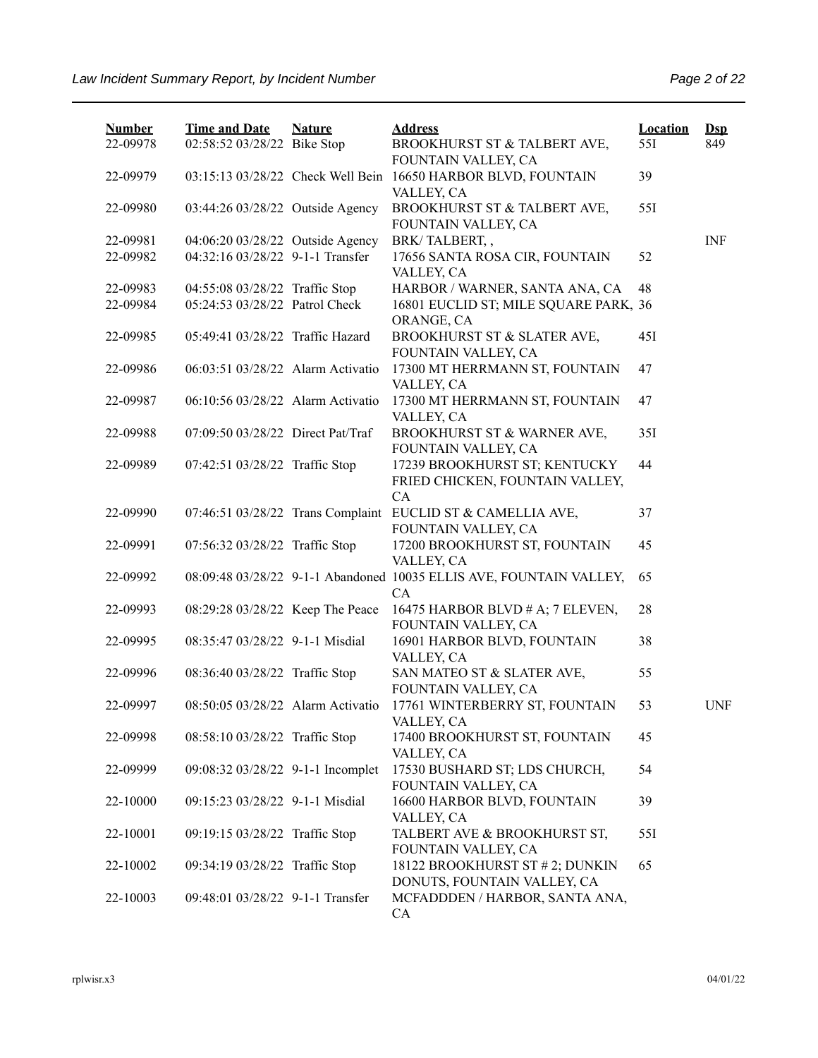| <b>Number</b> | <b>Time and Date</b>              | <b>Nature</b> | <b>Address</b>                                                                     | <b>Location</b> | $\mathbf{Dsp}$ |
|---------------|-----------------------------------|---------------|------------------------------------------------------------------------------------|-----------------|----------------|
| 22-09978      | 02:58:52 03/28/22 Bike Stop       |               | BROOKHURST ST & TALBERT AVE,<br>FOUNTAIN VALLEY, CA                                | 55I             | 849            |
| 22-09979      | 03:15:13 03/28/22 Check Well Bein |               | 16650 HARBOR BLVD, FOUNTAIN<br>VALLEY, CA                                          | 39              |                |
| 22-09980      | 03:44:26 03/28/22 Outside Agency  |               | BROOKHURST ST & TALBERT AVE,<br>FOUNTAIN VALLEY, CA                                | 551             |                |
| 22-09981      | 04:06:20 03/28/22 Outside Agency  |               | BRK/TALBERT,,                                                                      |                 | <b>INF</b>     |
| 22-09982      | 04:32:16 03/28/22 9-1-1 Transfer  |               | 17656 SANTA ROSA CIR, FOUNTAIN<br>VALLEY, CA                                       | 52              |                |
| 22-09983      | 04:55:08 03/28/22 Traffic Stop    |               | HARBOR / WARNER, SANTA ANA, CA                                                     | 48              |                |
| 22-09984      | 05:24:53 03/28/22 Patrol Check    |               | 16801 EUCLID ST; MILE SQUARE PARK, 36<br>ORANGE, CA                                |                 |                |
| 22-09985      | 05:49:41 03/28/22 Traffic Hazard  |               | BROOKHURST ST & SLATER AVE,<br>FOUNTAIN VALLEY, CA                                 | 45I             |                |
| 22-09986      | 06:03:51 03/28/22 Alarm Activatio |               | 17300 MT HERRMANN ST, FOUNTAIN<br>VALLEY, CA                                       | 47              |                |
| 22-09987      | 06:10:56 03/28/22 Alarm Activatio |               | 17300 MT HERRMANN ST, FOUNTAIN<br>VALLEY, CA                                       | 47              |                |
| 22-09988      | 07:09:50 03/28/22 Direct Pat/Traf |               | BROOKHURST ST & WARNER AVE,<br>FOUNTAIN VALLEY, CA                                 | 35I             |                |
| 22-09989      | 07:42:51 03/28/22 Traffic Stop    |               | 17239 BROOKHURST ST; KENTUCKY<br>FRIED CHICKEN, FOUNTAIN VALLEY,<br>CA             | 44              |                |
| 22-09990      |                                   |               | 07:46:51 03/28/22 Trans Complaint EUCLID ST & CAMELLIA AVE,<br>FOUNTAIN VALLEY, CA | 37              |                |
| 22-09991      | 07:56:32 03/28/22 Traffic Stop    |               | 17200 BROOKHURST ST, FOUNTAIN<br>VALLEY, CA                                        | 45              |                |
| 22-09992      |                                   |               | 08:09:48 03/28/22 9-1-1 Abandoned 10035 ELLIS AVE, FOUNTAIN VALLEY,<br>CA          | 65              |                |
| 22-09993      | 08:29:28 03/28/22 Keep The Peace  |               | 16475 HARBOR BLVD # A; 7 ELEVEN,<br>FOUNTAIN VALLEY, CA                            | 28              |                |
| 22-09995      | 08:35:47 03/28/22 9-1-1 Misdial   |               | 16901 HARBOR BLVD, FOUNTAIN<br>VALLEY, CA                                          | 38              |                |
| 22-09996      | 08:36:40 03/28/22 Traffic Stop    |               | SAN MATEO ST & SLATER AVE,<br>FOUNTAIN VALLEY, CA                                  | 55              |                |
| 22-09997      | 08:50:05 03/28/22 Alarm Activatio |               | 17761 WINTERBERRY ST, FOUNTAIN<br>VALLEY, CA                                       | 53              | <b>UNF</b>     |
| 22-09998      | 08:58:10 03/28/22 Traffic Stop    |               | 17400 BROOKHURST ST, FOUNTAIN<br>VALLEY, CA                                        | 45              |                |
| 22-09999      | 09:08:32 03/28/22 9-1-1 Incomplet |               | 17530 BUSHARD ST; LDS CHURCH,<br>FOUNTAIN VALLEY, CA                               | 54              |                |
| 22-10000      | 09:15:23 03/28/22 9-1-1 Misdial   |               | 16600 HARBOR BLVD, FOUNTAIN<br>VALLEY, CA                                          | 39              |                |
| 22-10001      | 09:19:15 03/28/22 Traffic Stop    |               | TALBERT AVE & BROOKHURST ST,<br>FOUNTAIN VALLEY, CA                                | 55I             |                |
| 22-10002      | 09:34:19 03/28/22 Traffic Stop    |               | 18122 BROOKHURST ST # 2; DUNKIN<br>DONUTS, FOUNTAIN VALLEY, CA                     | 65              |                |
| 22-10003      | 09:48:01 03/28/22 9-1-1 Transfer  |               | MCFADDDEN / HARBOR, SANTA ANA,<br>CA                                               |                 |                |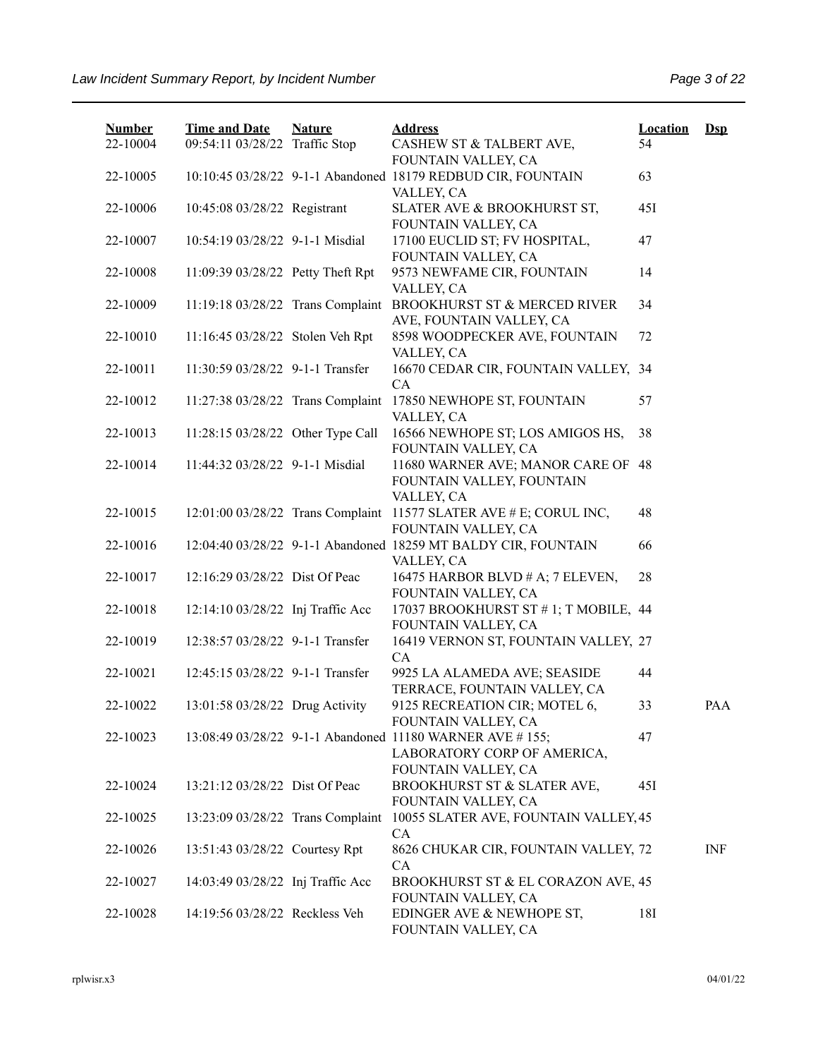| <b>Number</b><br>22-10004 | <b>Time and Date</b><br>09:54:11 03/28/22 Traffic Stop | <b>Nature</b> | <b>Address</b><br>CASHEW ST & TALBERT AVE,                                                                     | <b>Location</b><br>54 | $Dep$      |
|---------------------------|--------------------------------------------------------|---------------|----------------------------------------------------------------------------------------------------------------|-----------------------|------------|
|                           |                                                        |               | FOUNTAIN VALLEY, CA                                                                                            |                       |            |
| 22-10005                  |                                                        |               | 10:10:45 03/28/22 9-1-1 Abandoned 18179 REDBUD CIR, FOUNTAIN<br>VALLEY, CA                                     | 63                    |            |
| 22-10006                  | 10:45:08 03/28/22 Registrant                           |               | SLATER AVE & BROOKHURST ST,<br>FOUNTAIN VALLEY, CA                                                             | 45I                   |            |
| 22-10007                  | 10:54:19 03/28/22 9-1-1 Misdial                        |               | 17100 EUCLID ST; FV HOSPITAL,<br>FOUNTAIN VALLEY, CA                                                           | 47                    |            |
| 22-10008                  | 11:09:39 03/28/22 Petty Theft Rpt                      |               | 9573 NEWFAME CIR, FOUNTAIN<br>VALLEY, CA                                                                       | 14                    |            |
| 22-10009                  | 11:19:18 03/28/22 Trans Complaint                      |               | BROOKHURST ST & MERCED RIVER<br>AVE, FOUNTAIN VALLEY, CA                                                       | 34                    |            |
| 22-10010                  | 11:16:45 03/28/22 Stolen Veh Rpt                       |               | 8598 WOODPECKER AVE, FOUNTAIN<br>VALLEY, CA                                                                    | 72                    |            |
| 22-10011                  | 11:30:59 03/28/22 9-1-1 Transfer                       |               | 16670 CEDAR CIR, FOUNTAIN VALLEY, 34<br>CA                                                                     |                       |            |
| 22-10012                  | 11:27:38 03/28/22 Trans Complaint                      |               | 17850 NEWHOPE ST, FOUNTAIN<br>VALLEY, CA                                                                       | 57                    |            |
| 22-10013                  | 11:28:15 03/28/22 Other Type Call                      |               | 16566 NEWHOPE ST; LOS AMIGOS HS,<br>FOUNTAIN VALLEY, CA                                                        | 38                    |            |
| 22-10014                  | 11:44:32 03/28/22 9-1-1 Misdial                        |               | 11680 WARNER AVE; MANOR CARE OF 48<br>FOUNTAIN VALLEY, FOUNTAIN<br>VALLEY, CA                                  |                       |            |
| 22-10015                  |                                                        |               | 12:01:00 03/28/22 Trans Complaint 11577 SLATER AVE # E; CORUL INC,<br>FOUNTAIN VALLEY, CA                      | 48                    |            |
| 22-10016                  |                                                        |               | 12:04:40 03/28/22 9-1-1 Abandoned 18259 MT BALDY CIR, FOUNTAIN<br>VALLEY, CA                                   | 66                    |            |
| 22-10017                  | 12:16:29 03/28/22 Dist Of Peac                         |               | 16475 HARBOR BLVD # A; 7 ELEVEN,<br>FOUNTAIN VALLEY, CA                                                        | 28                    |            |
| 22-10018                  | 12:14:10 03/28/22 Inj Traffic Acc                      |               | 17037 BROOKHURST ST #1; T MOBILE, 44<br>FOUNTAIN VALLEY, CA                                                    |                       |            |
| 22-10019                  | 12:38:57 03/28/22 9-1-1 Transfer                       |               | 16419 VERNON ST, FOUNTAIN VALLEY, 27<br>CA                                                                     |                       |            |
| 22-10021                  | 12:45:15 03/28/22 9-1-1 Transfer                       |               | 9925 LA ALAMEDA AVE; SEASIDE<br>TERRACE, FOUNTAIN VALLEY, CA                                                   | 44                    |            |
| 22-10022                  | 13:01:58 03/28/22 Drug Activity                        |               | 9125 RECREATION CIR; MOTEL 6,<br>FOUNTAIN VALLEY, CA                                                           | 33                    | PAA        |
| 22-10023                  |                                                        |               | 13:08:49 03/28/22 9-1-1 Abandoned 11180 WARNER AVE #155;<br>LABORATORY CORP OF AMERICA,<br>FOUNTAIN VALLEY, CA | 47                    |            |
| 22-10024                  | 13:21:12 03/28/22 Dist Of Peac                         |               | BROOKHURST ST & SLATER AVE,<br>FOUNTAIN VALLEY, CA                                                             | 45I                   |            |
| 22-10025                  | 13:23:09 03/28/22 Trans Complaint                      |               | 10055 SLATER AVE, FOUNTAIN VALLEY, 45<br>CA                                                                    |                       |            |
| 22-10026                  | 13:51:43 03/28/22 Courtesy Rpt                         |               | 8626 CHUKAR CIR, FOUNTAIN VALLEY, 72<br>CA                                                                     |                       | <b>INF</b> |
| 22-10027                  | 14:03:49 03/28/22 Inj Traffic Acc                      |               | BROOKHURST ST & EL CORAZON AVE, 45<br>FOUNTAIN VALLEY, CA                                                      |                       |            |
| 22-10028                  | 14:19:56 03/28/22 Reckless Veh                         |               | EDINGER AVE & NEWHOPE ST,<br>FOUNTAIN VALLEY, CA                                                               | 18I                   |            |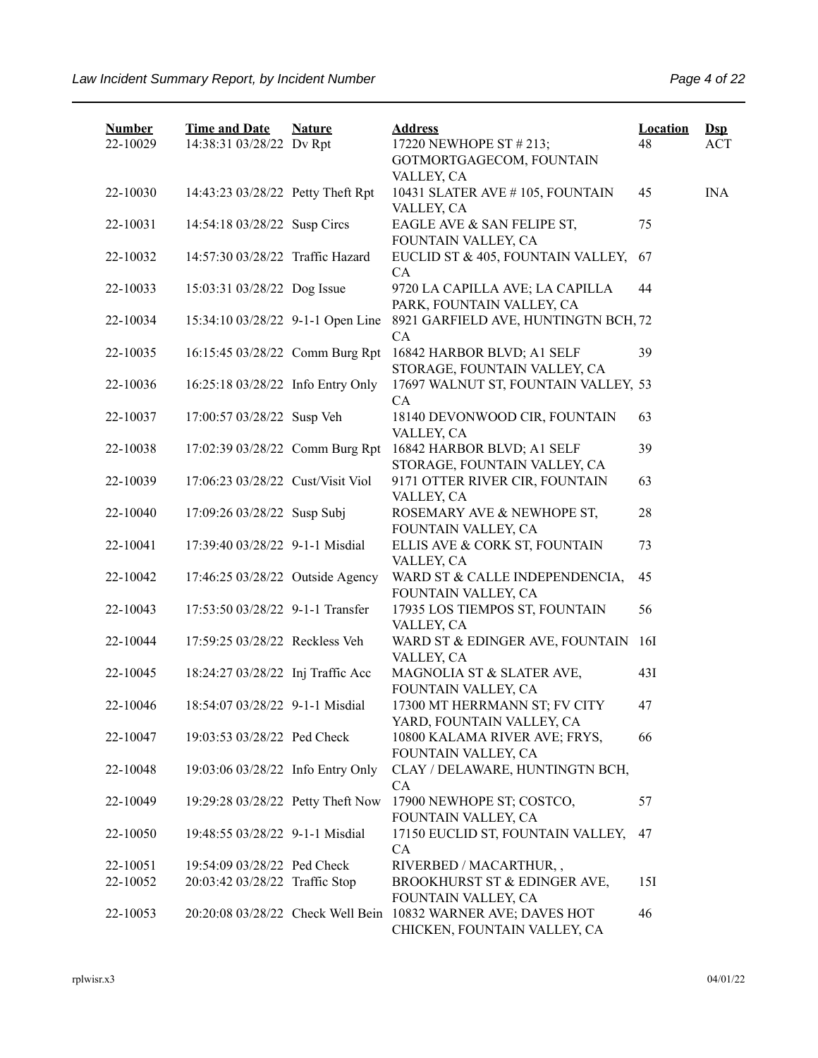| <b>Number</b><br>22-10029 | <b>Time and Date</b><br>14:38:31 03/28/22 Dv Rpt                     | <b>Nature</b> | <b>Address</b><br>17220 NEWHOPE ST # 213;<br>GOTMORTGAGECOM, FOUNTAIN      | <b>Location</b><br>48 | $\mathbf{Dsp}$<br><b>ACT</b> |
|---------------------------|----------------------------------------------------------------------|---------------|----------------------------------------------------------------------------|-----------------------|------------------------------|
| 22-10030                  | 14:43:23 03/28/22 Petty Theft Rpt                                    |               | VALLEY, CA<br>10431 SLATER AVE #105, FOUNTAIN<br>VALLEY, CA                | 45                    | <b>INA</b>                   |
| 22-10031                  | 14:54:18 03/28/22 Susp Circs                                         |               | EAGLE AVE & SAN FELIPE ST,<br>FOUNTAIN VALLEY, CA                          | 75                    |                              |
| 22-10032                  | 14:57:30 03/28/22 Traffic Hazard                                     |               | EUCLID ST & 405, FOUNTAIN VALLEY,<br><b>CA</b>                             | 67                    |                              |
| 22-10033                  | 15:03:31 03/28/22 Dog Issue                                          |               | 9720 LA CAPILLA AVE; LA CAPILLA<br>PARK, FOUNTAIN VALLEY, CA               | 44                    |                              |
| 22-10034                  | 15:34:10 03/28/22 9-1-1 Open Line                                    |               | 8921 GARFIELD AVE, HUNTINGTN BCH, 72<br>CA                                 |                       |                              |
| 22-10035                  | 16:15:45 03/28/22 Comm Burg Rpt                                      |               | 16842 HARBOR BLVD; A1 SELF<br>STORAGE, FOUNTAIN VALLEY, CA                 | 39                    |                              |
| 22-10036                  | 16:25:18 03/28/22 Info Entry Only                                    |               | 17697 WALNUT ST, FOUNTAIN VALLEY, 53<br><b>CA</b>                          |                       |                              |
| 22-10037                  | 17:00:57 03/28/22 Susp Veh                                           |               | 18140 DEVONWOOD CIR, FOUNTAIN<br>VALLEY, CA                                | 63                    |                              |
| 22-10038                  | 17:02:39 03/28/22 Comm Burg Rpt                                      |               | 16842 HARBOR BLVD; A1 SELF<br>STORAGE, FOUNTAIN VALLEY, CA                 | 39                    |                              |
| 22-10039                  | 17:06:23 03/28/22 Cust/Visit Viol                                    |               | 9171 OTTER RIVER CIR, FOUNTAIN<br>VALLEY, CA                               | 63                    |                              |
| 22-10040                  | 17:09:26 03/28/22 Susp Subj                                          |               | ROSEMARY AVE & NEWHOPE ST,<br>FOUNTAIN VALLEY, CA                          | 28                    |                              |
| 22-10041                  | 17:39:40 03/28/22 9-1-1 Misdial                                      |               | ELLIS AVE & CORK ST, FOUNTAIN<br>VALLEY, CA                                | 73                    |                              |
| 22-10042                  | 17:46:25 03/28/22 Outside Agency                                     |               | WARD ST & CALLE INDEPENDENCIA,<br>FOUNTAIN VALLEY, CA                      | 45                    |                              |
| 22-10043                  | 17:53:50 03/28/22 9-1-1 Transfer                                     |               | 17935 LOS TIEMPOS ST, FOUNTAIN<br>VALLEY, CA                               | 56                    |                              |
| 22-10044                  | 17:59:25 03/28/22 Reckless Veh                                       |               | WARD ST & EDINGER AVE, FOUNTAIN<br>VALLEY, CA<br>MAGNOLIA ST & SLATER AVE, | <b>16I</b>            |                              |
| 22-10045<br>22-10046      | 18:24:27 03/28/22 Inj Traffic Acc<br>18:54:07 03/28/22 9-1-1 Misdial |               | FOUNTAIN VALLEY, CA<br>17300 MT HERRMANN ST; FV CITY                       | 43I<br>47             |                              |
| 22-10047                  | 19:03:53 03/28/22 Ped Check                                          |               | YARD, FOUNTAIN VALLEY, CA<br>10800 KALAMA RIVER AVE; FRYS,                 | 66                    |                              |
| 22-10048                  | 19:03:06 03/28/22 Info Entry Only                                    |               | FOUNTAIN VALLEY, CA<br>CLAY / DELAWARE, HUNTINGTN BCH,                     |                       |                              |
| 22-10049                  | 19:29:28 03/28/22 Petty Theft Now                                    |               | CA<br>17900 NEWHOPE ST; COSTCO,                                            | 57                    |                              |
| 22-10050                  | 19:48:55 03/28/22 9-1-1 Misdial                                      |               | FOUNTAIN VALLEY, CA<br>17150 EUCLID ST, FOUNTAIN VALLEY,<br><b>CA</b>      | 47                    |                              |
| 22-10051                  | 19:54:09 03/28/22 Ped Check                                          |               | RIVERBED / MACARTHUR,,                                                     |                       |                              |
| 22-10052                  | 20:03:42 03/28/22 Traffic Stop                                       |               | BROOKHURST ST & EDINGER AVE,<br>FOUNTAIN VALLEY, CA                        | 15I                   |                              |
| 22-10053                  | 20:20:08 03/28/22 Check Well Bein                                    |               | 10832 WARNER AVE; DAVES HOT<br>CHICKEN, FOUNTAIN VALLEY, CA                | 46                    |                              |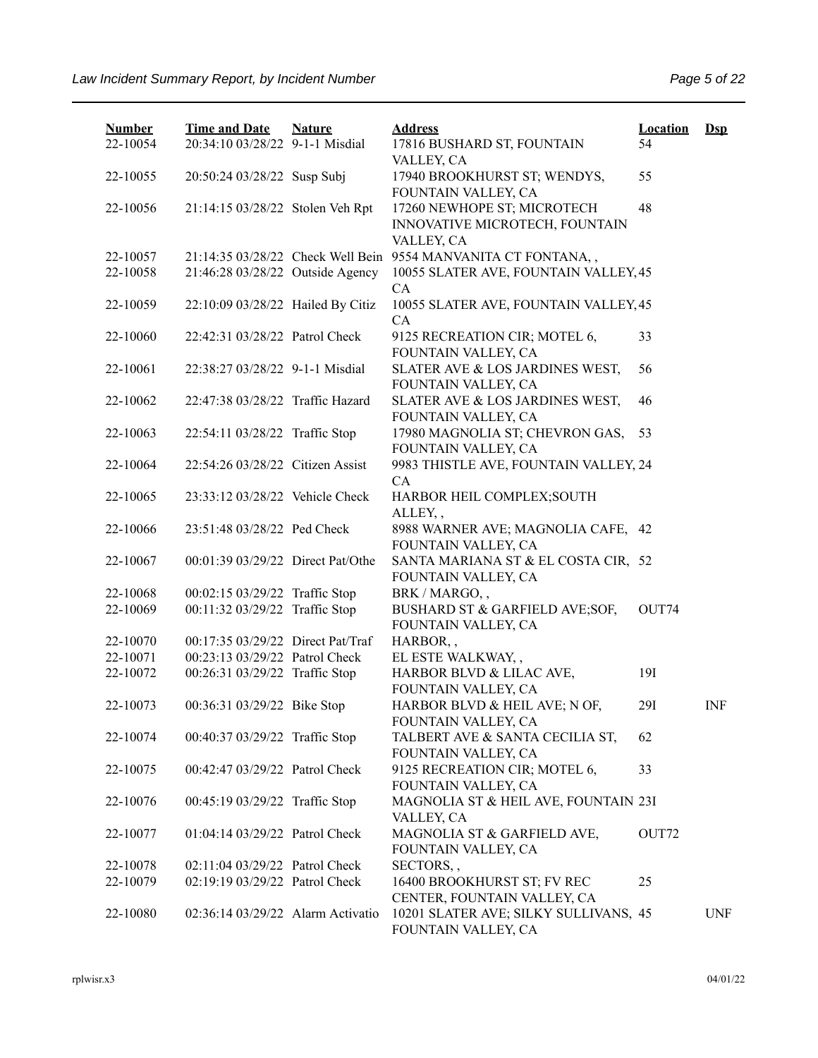| <b>Number</b> | <b>Time and Date</b>              | <b>Nature</b> | <b>Address</b>                                                | <b>Location</b> | $\mathbf{Dsp}$ |
|---------------|-----------------------------------|---------------|---------------------------------------------------------------|-----------------|----------------|
| 22-10054      | 20:34:10 03/28/22 9-1-1 Misdial   |               | 17816 BUSHARD ST, FOUNTAIN<br>VALLEY, CA                      | 54              |                |
| 22-10055      | 20:50:24 03/28/22 Susp Subj       |               | 17940 BROOKHURST ST; WENDYS,<br>FOUNTAIN VALLEY, CA           | 55              |                |
| 22-10056      | 21:14:15 03/28/22 Stolen Veh Rpt  |               | 17260 NEWHOPE ST; MICROTECH<br>INNOVATIVE MICROTECH, FOUNTAIN | 48              |                |
|               |                                   |               | VALLEY, CA                                                    |                 |                |
| 22-10057      |                                   |               | 21:14:35 03/28/22 Check Well Bein 9554 MANVANITA CT FONTANA,, |                 |                |
| 22-10058      | 21:46:28 03/28/22 Outside Agency  |               | 10055 SLATER AVE, FOUNTAIN VALLEY, 45<br>CA                   |                 |                |
| 22-10059      | 22:10:09 03/28/22 Hailed By Citiz |               | 10055 SLATER AVE, FOUNTAIN VALLEY, 45<br><b>CA</b>            |                 |                |
| 22-10060      | 22:42:31 03/28/22 Patrol Check    |               | 9125 RECREATION CIR; MOTEL 6,<br>FOUNTAIN VALLEY, CA          | 33              |                |
| 22-10061      | 22:38:27 03/28/22 9-1-1 Misdial   |               | SLATER AVE & LOS JARDINES WEST,<br>FOUNTAIN VALLEY, CA        | 56              |                |
| 22-10062      | 22:47:38 03/28/22 Traffic Hazard  |               | SLATER AVE & LOS JARDINES WEST,<br>FOUNTAIN VALLEY, CA        | 46              |                |
| 22-10063      | 22:54:11 03/28/22 Traffic Stop    |               | 17980 MAGNOLIA ST; CHEVRON GAS,<br>FOUNTAIN VALLEY, CA        | 53              |                |
| 22-10064      | 22:54:26 03/28/22 Citizen Assist  |               | 9983 THISTLE AVE, FOUNTAIN VALLEY, 24<br>CA                   |                 |                |
| 22-10065      | 23:33:12 03/28/22 Vehicle Check   |               | HARBOR HEIL COMPLEX; SOUTH<br>ALLEY,,                         |                 |                |
| 22-10066      | 23:51:48 03/28/22 Ped Check       |               | 8988 WARNER AVE; MAGNOLIA CAFE, 42<br>FOUNTAIN VALLEY, CA     |                 |                |
| 22-10067      | 00:01:39 03/29/22 Direct Pat/Othe |               | SANTA MARIANA ST & EL COSTA CIR, 52<br>FOUNTAIN VALLEY, CA    |                 |                |
| 22-10068      | 00:02:15 03/29/22 Traffic Stop    |               | BRK / MARGO,,                                                 |                 |                |
| 22-10069      | 00:11:32 03/29/22 Traffic Stop    |               | BUSHARD ST & GARFIELD AVE;SOF,<br>FOUNTAIN VALLEY, CA         | OUT74           |                |
| 22-10070      | 00:17:35 03/29/22 Direct Pat/Traf |               | HARBOR,,                                                      |                 |                |
| 22-10071      | 00:23:13 03/29/22 Patrol Check    |               | EL ESTE WALKWAY,,                                             |                 |                |
| 22-10072      | 00:26:31 03/29/22 Traffic Stop    |               | HARBOR BLVD & LILAC AVE,<br>FOUNTAIN VALLEY, CA               | 19I             |                |
| 22-10073      | 00:36:31 03/29/22 Bike Stop       |               | HARBOR BLVD & HEIL AVE; N OF,<br>FOUNTAIN VALLEY, CA          | 29I             | <b>INF</b>     |
| 22-10074      | 00:40:37 03/29/22 Traffic Stop    |               | TALBERT AVE & SANTA CECILIA ST,<br>FOUNTAIN VALLEY, CA        | 62              |                |
| 22-10075      | 00:42:47 03/29/22 Patrol Check    |               | 9125 RECREATION CIR; MOTEL 6,<br>FOUNTAIN VALLEY, CA          | 33              |                |
| 22-10076      | 00:45:19 03/29/22 Traffic Stop    |               | MAGNOLIA ST & HEIL AVE, FOUNTAIN 23I<br>VALLEY, CA            |                 |                |
| 22-10077      | 01:04:14 03/29/22 Patrol Check    |               | MAGNOLIA ST & GARFIELD AVE,<br>FOUNTAIN VALLEY, CA            | OUT72           |                |
| 22-10078      | 02:11:04 03/29/22 Patrol Check    |               | SECTORS,,                                                     |                 |                |
| 22-10079      | 02:19:19 03/29/22 Patrol Check    |               | 16400 BROOKHURST ST; FV REC<br>CENTER, FOUNTAIN VALLEY, CA    | 25              |                |
| 22-10080      | 02:36:14 03/29/22 Alarm Activatio |               | 10201 SLATER AVE; SILKY SULLIVANS, 45<br>FOUNTAIN VALLEY, CA  |                 | <b>UNF</b>     |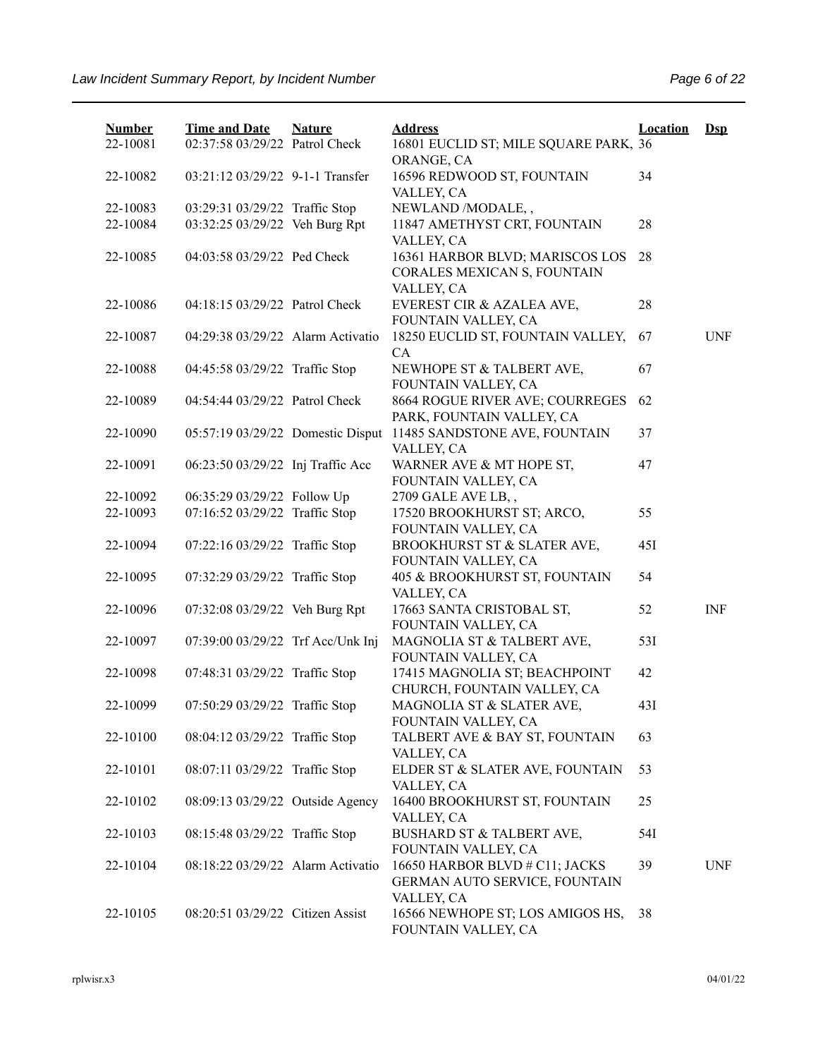| <b>Number</b><br>22-10081 | <b>Time and Date</b><br>02:37:58 03/29/22 Patrol Check | <b>Nature</b> | <b>Address</b><br>16801 EUCLID ST; MILE SQUARE PARK, 36                       | <b>Location</b> | $\mathbf{Dsp}$ |
|---------------------------|--------------------------------------------------------|---------------|-------------------------------------------------------------------------------|-----------------|----------------|
| 22-10082                  | 03:21:12 03/29/22 9-1-1 Transfer                       |               | ORANGE, CA<br>16596 REDWOOD ST, FOUNTAIN                                      | 34              |                |
| 22-10083                  | 03:29:31 03/29/22 Traffic Stop                         |               | VALLEY, CA<br>NEWLAND /MODALE,,                                               |                 |                |
| 22-10084                  | 03:32:25 03/29/22 Veh Burg Rpt                         |               | 11847 AMETHYST CRT, FOUNTAIN                                                  | 28              |                |
| 22-10085                  | 04:03:58 03/29/22 Ped Check                            |               | VALLEY, CA<br>16361 HARBOR BLVD; MARISCOS LOS<br>CORALES MEXICAN S, FOUNTAIN  | 28              |                |
| 22-10086                  | 04:18:15 03/29/22 Patrol Check                         |               | VALLEY, CA<br>EVEREST CIR & AZALEA AVE,<br>FOUNTAIN VALLEY, CA                | 28              |                |
| 22-10087                  | 04:29:38 03/29/22 Alarm Activatio                      |               | 18250 EUCLID ST, FOUNTAIN VALLEY,<br>CA                                       | 67              | <b>UNF</b>     |
| 22-10088                  | 04:45:58 03/29/22 Traffic Stop                         |               | NEWHOPE ST & TALBERT AVE,<br>FOUNTAIN VALLEY, CA                              | 67              |                |
| 22-10089                  | 04:54:44 03/29/22 Patrol Check                         |               | 8664 ROGUE RIVER AVE; COURREGES<br>PARK, FOUNTAIN VALLEY, CA                  | 62              |                |
| 22-10090                  | 05:57:19 03/29/22 Domestic Disput                      |               | 11485 SANDSTONE AVE, FOUNTAIN<br>VALLEY, CA                                   | 37              |                |
| 22-10091                  | 06:23:50 03/29/22 Inj Traffic Acc                      |               | WARNER AVE & MT HOPE ST,<br>FOUNTAIN VALLEY, CA                               | 47              |                |
| 22-10092                  | 06:35:29 03/29/22 Follow Up                            |               | 2709 GALE AVE LB,,                                                            |                 |                |
| 22-10093                  | 07:16:52 03/29/22 Traffic Stop                         |               | 17520 BROOKHURST ST; ARCO,<br>FOUNTAIN VALLEY, CA                             | 55              |                |
| 22-10094                  | 07:22:16 03/29/22 Traffic Stop                         |               | BROOKHURST ST & SLATER AVE,<br>FOUNTAIN VALLEY, CA                            | 45I             |                |
| 22-10095                  | 07:32:29 03/29/22 Traffic Stop                         |               | 405 & BROOKHURST ST, FOUNTAIN<br>VALLEY, CA                                   | 54              |                |
| 22-10096                  | 07:32:08 03/29/22 Veh Burg Rpt                         |               | 17663 SANTA CRISTOBAL ST,<br>FOUNTAIN VALLEY, CA                              | 52              | <b>INF</b>     |
| 22-10097                  | 07:39:00 03/29/22 Trf Acc/Unk Inj                      |               | MAGNOLIA ST & TALBERT AVE,<br>FOUNTAIN VALLEY, CA                             | 53I             |                |
| 22-10098                  | 07:48:31 03/29/22 Traffic Stop                         |               | 17415 MAGNOLIA ST; BEACHPOINT<br>CHURCH, FOUNTAIN VALLEY, CA                  | 42              |                |
| 22-10099                  | 07:50:29 03/29/22 Traffic Stop                         |               | MAGNOLIA ST & SLATER AVE,<br>FOUNTAIN VALLEY, CA                              | 43I             |                |
| 22-10100                  | 08:04:12 03/29/22 Traffic Stop                         |               | TALBERT AVE & BAY ST, FOUNTAIN<br>VALLEY, CA                                  | 63              |                |
| 22-10101                  | 08:07:11 03/29/22 Traffic Stop                         |               | ELDER ST & SLATER AVE, FOUNTAIN<br>VALLEY, CA                                 | 53              |                |
| 22-10102                  | 08:09:13 03/29/22 Outside Agency                       |               | 16400 BROOKHURST ST, FOUNTAIN<br>VALLEY, CA                                   | 25              |                |
| 22-10103                  | 08:15:48 03/29/22 Traffic Stop                         |               | <b>BUSHARD ST &amp; TALBERT AVE,</b><br>FOUNTAIN VALLEY, CA                   | 54I             |                |
| 22-10104                  | 08:18:22 03/29/22 Alarm Activatio                      |               | 16650 HARBOR BLVD # C11; JACKS<br>GERMAN AUTO SERVICE, FOUNTAIN<br>VALLEY, CA | 39              | <b>UNF</b>     |
| 22-10105                  | 08:20:51 03/29/22 Citizen Assist                       |               | 16566 NEWHOPE ST; LOS AMIGOS HS,<br>FOUNTAIN VALLEY, CA                       | 38              |                |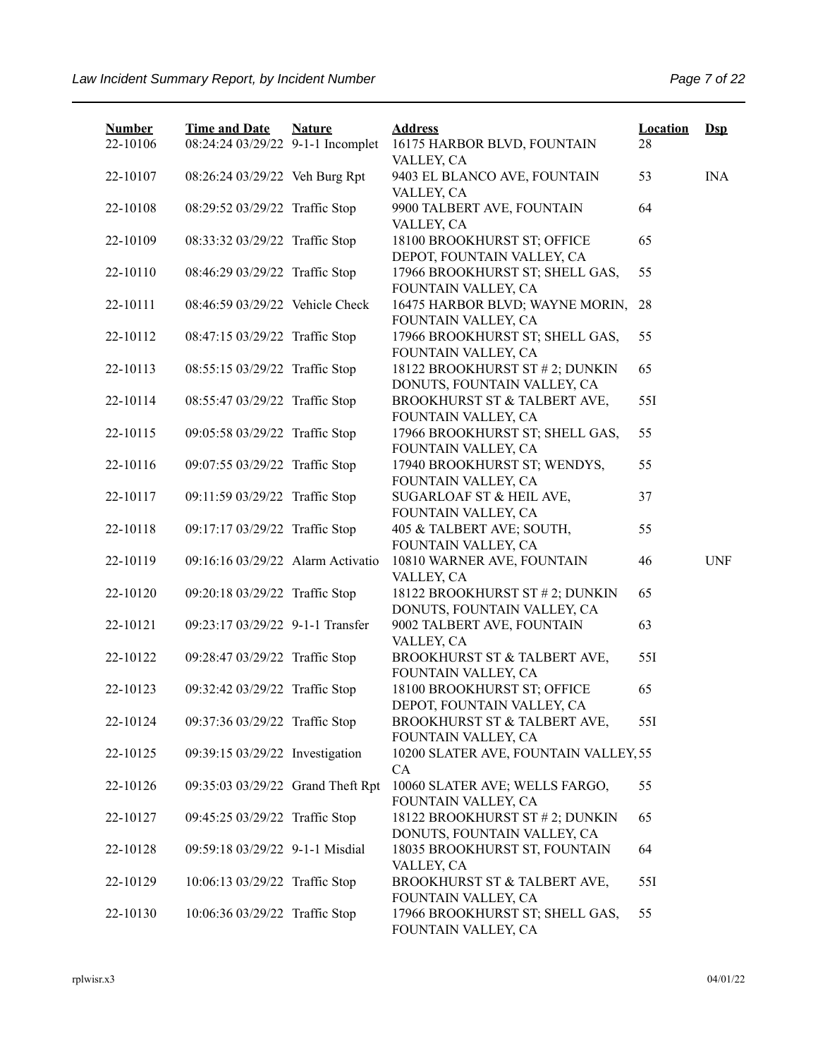| <b>Number</b><br>22-10106 | <b>Time and Date</b><br>08:24:24 03/29/22 9-1-1 Incomplet | <b>Nature</b> | <b>Address</b><br>16175 HARBOR BLVD, FOUNTAIN                  | <b>Location</b><br>28 | $\mathbf{Dsp}$ |
|---------------------------|-----------------------------------------------------------|---------------|----------------------------------------------------------------|-----------------------|----------------|
| 22-10107                  | 08:26:24 03/29/22 Veh Burg Rpt                            |               | VALLEY, CA<br>9403 EL BLANCO AVE, FOUNTAIN                     | 53                    | <b>INA</b>     |
| 22-10108                  | 08:29:52 03/29/22 Traffic Stop                            |               | VALLEY, CA<br>9900 TALBERT AVE, FOUNTAIN<br>VALLEY, CA         | 64                    |                |
| 22-10109                  | 08:33:32 03/29/22 Traffic Stop                            |               | 18100 BROOKHURST ST; OFFICE<br>DEPOT, FOUNTAIN VALLEY, CA      | 65                    |                |
| 22-10110                  | 08:46:29 03/29/22 Traffic Stop                            |               | 17966 BROOKHURST ST; SHELL GAS,<br>FOUNTAIN VALLEY, CA         | 55                    |                |
| 22-10111                  | 08:46:59 03/29/22 Vehicle Check                           |               | 16475 HARBOR BLVD; WAYNE MORIN,<br>FOUNTAIN VALLEY, CA         | 28                    |                |
| 22-10112                  | 08:47:15 03/29/22 Traffic Stop                            |               | 17966 BROOKHURST ST; SHELL GAS,<br>FOUNTAIN VALLEY, CA         | 55                    |                |
| 22-10113                  | 08:55:15 03/29/22 Traffic Stop                            |               | 18122 BROOKHURST ST # 2; DUNKIN<br>DONUTS, FOUNTAIN VALLEY, CA | 65                    |                |
| 22-10114                  | 08:55:47 03/29/22 Traffic Stop                            |               | BROOKHURST ST & TALBERT AVE,<br>FOUNTAIN VALLEY, CA            | 551                   |                |
| 22-10115                  | 09:05:58 03/29/22 Traffic Stop                            |               | 17966 BROOKHURST ST; SHELL GAS,<br>FOUNTAIN VALLEY, CA         | 55                    |                |
| 22-10116                  | 09:07:55 03/29/22 Traffic Stop                            |               | 17940 BROOKHURST ST; WENDYS,<br>FOUNTAIN VALLEY, CA            | 55                    |                |
| 22-10117                  | 09:11:59 03/29/22 Traffic Stop                            |               | SUGARLOAF ST & HEIL AVE,<br>FOUNTAIN VALLEY, CA                | 37                    |                |
| 22-10118                  | 09:17:17 03/29/22 Traffic Stop                            |               | 405 & TALBERT AVE; SOUTH,<br>FOUNTAIN VALLEY, CA               | 55                    |                |
| 22-10119                  | 09:16:16 03/29/22 Alarm Activatio                         |               | 10810 WARNER AVE, FOUNTAIN<br>VALLEY, CA                       | 46                    | <b>UNF</b>     |
| 22-10120                  | 09:20:18 03/29/22 Traffic Stop                            |               | 18122 BROOKHURST ST # 2; DUNKIN<br>DONUTS, FOUNTAIN VALLEY, CA | 65                    |                |
| 22-10121                  | 09:23:17 03/29/22 9-1-1 Transfer                          |               | 9002 TALBERT AVE, FOUNTAIN<br>VALLEY, CA                       | 63                    |                |
| 22-10122                  | 09:28:47 03/29/22 Traffic Stop                            |               | BROOKHURST ST & TALBERT AVE,<br>FOUNTAIN VALLEY, CA            | 55I                   |                |
| 22-10123                  | 09:32:42 03/29/22 Traffic Stop                            |               | 18100 BROOKHURST ST; OFFICE<br>DEPOT, FOUNTAIN VALLEY, CA      | 65                    |                |
| 22-10124                  | 09:37:36 03/29/22 Traffic Stop                            |               | BROOKHURST ST & TALBERT AVE,<br>FOUNTAIN VALLEY, CA            | 55I                   |                |
| 22-10125                  | 09:39:15 03/29/22 Investigation                           |               | 10200 SLATER AVE, FOUNTAIN VALLEY, 55<br>CA                    |                       |                |
| 22-10126                  | 09:35:03 03/29/22 Grand Theft Rpt                         |               | 10060 SLATER AVE; WELLS FARGO,<br>FOUNTAIN VALLEY, CA          | 55                    |                |
| 22-10127                  | 09:45:25 03/29/22 Traffic Stop                            |               | 18122 BROOKHURST ST # 2; DUNKIN<br>DONUTS, FOUNTAIN VALLEY, CA | 65                    |                |
| 22-10128                  | 09:59:18 03/29/22 9-1-1 Misdial                           |               | 18035 BROOKHURST ST, FOUNTAIN<br>VALLEY, CA                    | 64                    |                |
| 22-10129                  | 10:06:13 03/29/22 Traffic Stop                            |               | BROOKHURST ST & TALBERT AVE,<br>FOUNTAIN VALLEY, CA            | 55I                   |                |
| 22-10130                  | 10:06:36 03/29/22 Traffic Stop                            |               | 17966 BROOKHURST ST; SHELL GAS,<br>FOUNTAIN VALLEY, CA         | 55                    |                |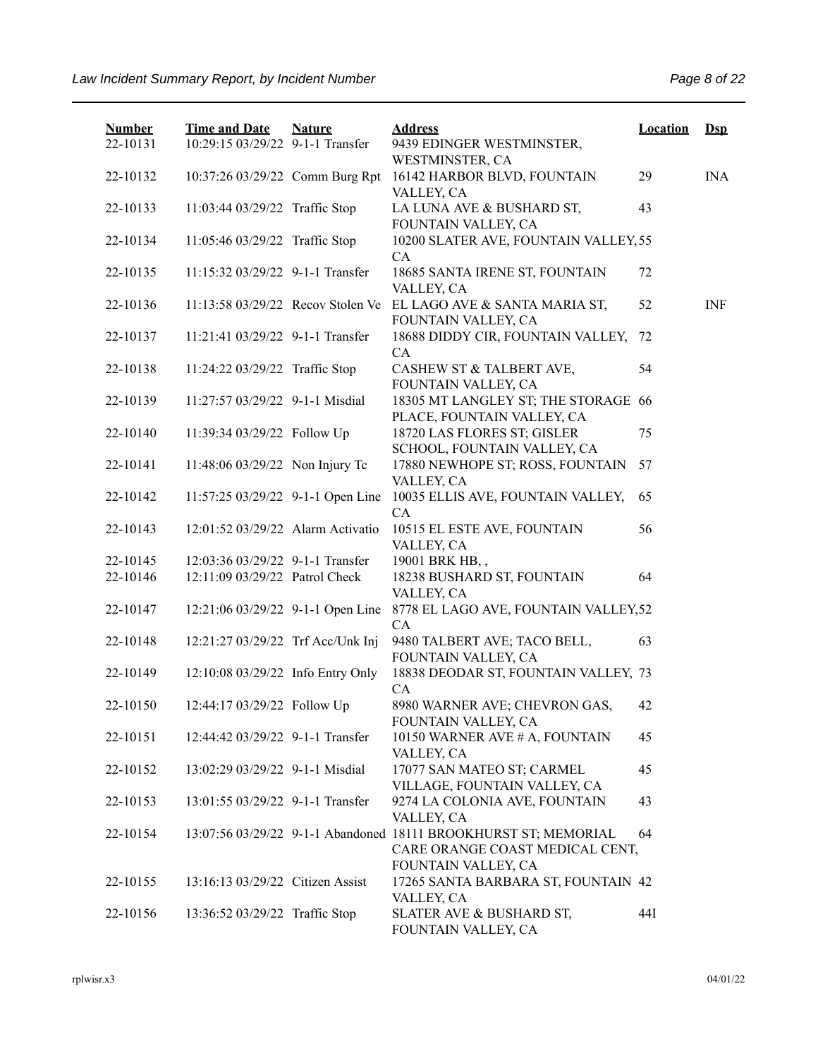| <b>Number</b><br>22-10131 | <b>Time and Date</b><br>10:29:15 03/29/22 9-1-1 Transfer | <b>Nature</b> | <b>Address</b><br>9439 EDINGER WESTMINSTER,<br>WESTMINSTER, CA                                     | <b>Location</b> | $\mathbf{Dsp}$ |
|---------------------------|----------------------------------------------------------|---------------|----------------------------------------------------------------------------------------------------|-----------------|----------------|
| 22-10132                  | 10:37:26 03/29/22 Comm Burg Rpt                          |               | 16142 HARBOR BLVD, FOUNTAIN<br>VALLEY, CA                                                          | 29              | <b>INA</b>     |
| 22-10133                  | 11:03:44 03/29/22 Traffic Stop                           |               | LA LUNA AVE & BUSHARD ST,<br>FOUNTAIN VALLEY, CA                                                   | 43              |                |
| 22-10134                  | 11:05:46 03/29/22 Traffic Stop                           |               | 10200 SLATER AVE, FOUNTAIN VALLEY, 55<br>CA                                                        |                 |                |
| 22-10135                  | 11:15:32 03/29/22 9-1-1 Transfer                         |               | 18685 SANTA IRENE ST, FOUNTAIN<br>VALLEY, CA                                                       | 72              |                |
| 22-10136                  | 11:13:58 03/29/22 Recov Stolen Ve                        |               | EL LAGO AVE & SANTA MARIA ST,<br>FOUNTAIN VALLEY, CA                                               | 52              | <b>INF</b>     |
| 22-10137                  | 11:21:41 03/29/22 9-1-1 Transfer                         |               | 18688 DIDDY CIR, FOUNTAIN VALLEY,<br>CA                                                            | 72              |                |
| 22-10138                  | 11:24:22 03/29/22 Traffic Stop                           |               | CASHEW ST & TALBERT AVE,<br>FOUNTAIN VALLEY, CA                                                    | 54              |                |
| 22-10139                  | 11:27:57 03/29/22 9-1-1 Misdial                          |               | 18305 MT LANGLEY ST; THE STORAGE 66<br>PLACE, FOUNTAIN VALLEY, CA                                  |                 |                |
| 22-10140                  | 11:39:34 03/29/22 Follow Up                              |               | 18720 LAS FLORES ST; GISLER<br>SCHOOL, FOUNTAIN VALLEY, CA                                         | 75              |                |
| 22-10141                  | 11:48:06 03/29/22 Non Injury Tc                          |               | 17880 NEWHOPE ST; ROSS, FOUNTAIN<br>VALLEY, CA                                                     | 57              |                |
| 22-10142                  | 11:57:25 03/29/22 9-1-1 Open Line                        |               | 10035 ELLIS AVE, FOUNTAIN VALLEY,<br>CA                                                            | 65              |                |
| 22-10143                  | 12:01:52 03/29/22 Alarm Activatio                        |               | 10515 EL ESTE AVE, FOUNTAIN<br>VALLEY, CA                                                          | 56              |                |
| 22-10145                  | 12:03:36 03/29/22 9-1-1 Transfer                         |               | 19001 BRK HB,,                                                                                     |                 |                |
| 22-10146                  | 12:11:09 03/29/22 Patrol Check                           |               | 18238 BUSHARD ST, FOUNTAIN<br>VALLEY, CA                                                           | 64              |                |
| 22-10147                  | 12:21:06 03/29/22 9-1-1 Open Line                        |               | 8778 EL LAGO AVE, FOUNTAIN VALLEY, 52<br>CA                                                        |                 |                |
| 22-10148                  | 12:21:27 03/29/22 Trf Acc/Unk Inj                        |               | 9480 TALBERT AVE; TACO BELL,<br>FOUNTAIN VALLEY, CA                                                | 63              |                |
| 22-10149                  | 12:10:08 03/29/22 Info Entry Only                        |               | 18838 DEODAR ST, FOUNTAIN VALLEY, 73<br>CA                                                         |                 |                |
| 22-10150                  | 12:44:17 03/29/22 Follow Up                              |               | 8980 WARNER AVE; CHEVRON GAS,<br>FOUNTAIN VALLEY, CA                                               | 42              |                |
| 22-10151                  | 12:44:42 03/29/22 9-1-1 Transfer                         |               | 10150 WARNER AVE # A, FOUNTAIN<br>VALLEY, CA                                                       | 45              |                |
| 22-10152                  | 13:02:29 03/29/22 9-1-1 Misdial                          |               | 17077 SAN MATEO ST; CARMEL<br>VILLAGE, FOUNTAIN VALLEY, CA                                         | 45              |                |
| 22-10153                  | 13:01:55 03/29/22 9-1-1 Transfer                         |               | 9274 LA COLONIA AVE, FOUNTAIN<br>VALLEY, CA                                                        | 43              |                |
| 22-10154                  |                                                          |               | 13:07:56 03/29/22 9-1-1 Abandoned 18111 BROOKHURST ST; MEMORIAL<br>CARE ORANGE COAST MEDICAL CENT, | 64              |                |
| 22-10155                  | 13:16:13 03/29/22 Citizen Assist                         |               | FOUNTAIN VALLEY, CA<br>17265 SANTA BARBARA ST, FOUNTAIN 42<br>VALLEY, CA                           |                 |                |
| 22-10156                  | 13:36:52 03/29/22 Traffic Stop                           |               | SLATER AVE & BUSHARD ST,<br>FOUNTAIN VALLEY, CA                                                    | 44I             |                |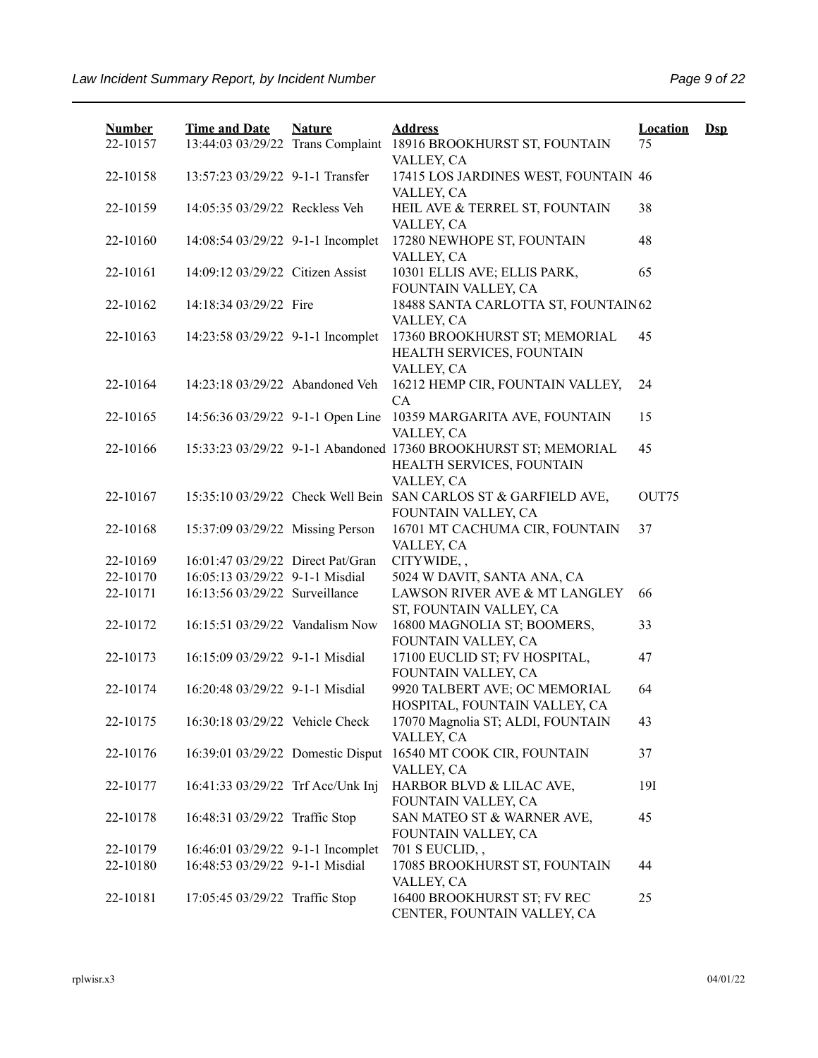| <b>Number</b> | <b>Time and Date</b>              | <b>Nature</b> | <b>Address</b>                                                                                             | <b>Location</b> | $\mathbf{Dsp}$ |
|---------------|-----------------------------------|---------------|------------------------------------------------------------------------------------------------------------|-----------------|----------------|
| 22-10157      |                                   |               | 13:44:03 03/29/22 Trans Complaint 18916 BROOKHURST ST, FOUNTAIN<br>VALLEY, CA                              | 75              |                |
| 22-10158      | 13:57:23 03/29/22 9-1-1 Transfer  |               | 17415 LOS JARDINES WEST, FOUNTAIN 46<br>VALLEY, CA                                                         |                 |                |
| 22-10159      | 14:05:35 03/29/22 Reckless Veh    |               | HEIL AVE & TERREL ST, FOUNTAIN<br>VALLEY, CA                                                               | 38              |                |
| 22-10160      | 14:08:54 03/29/22 9-1-1 Incomplet |               | 17280 NEWHOPE ST, FOUNTAIN<br>VALLEY, CA                                                                   | 48              |                |
| 22-10161      | 14:09:12 03/29/22 Citizen Assist  |               | 10301 ELLIS AVE; ELLIS PARK,<br>FOUNTAIN VALLEY, CA                                                        | 65              |                |
| 22-10162      | 14:18:34 03/29/22 Fire            |               | 18488 SANTA CARLOTTA ST, FOUNTAIN 62<br>VALLEY, CA                                                         |                 |                |
| 22-10163      | 14:23:58 03/29/22 9-1-1 Incomplet |               | 17360 BROOKHURST ST; MEMORIAL<br>HEALTH SERVICES, FOUNTAIN<br>VALLEY, CA                                   | 45              |                |
| 22-10164      | 14:23:18 03/29/22 Abandoned Veh   |               | 16212 HEMP CIR, FOUNTAIN VALLEY,<br>CA                                                                     | 24              |                |
| 22-10165      | 14:56:36 03/29/22 9-1-1 Open Line |               | 10359 MARGARITA AVE, FOUNTAIN<br>VALLEY, CA                                                                | 15              |                |
| 22-10166      |                                   |               | 15:33:23 03/29/22 9-1-1 Abandoned 17360 BROOKHURST ST; MEMORIAL<br>HEALTH SERVICES, FOUNTAIN<br>VALLEY, CA | 45              |                |
| 22-10167      |                                   |               | 15:35:10 03/29/22 Check Well Bein SAN CARLOS ST & GARFIELD AVE,<br>FOUNTAIN VALLEY, CA                     | OUT75           |                |
| 22-10168      | 15:37:09 03/29/22 Missing Person  |               | 16701 MT CACHUMA CIR, FOUNTAIN<br>VALLEY, CA                                                               | 37              |                |
| 22-10169      | 16:01:47 03/29/22 Direct Pat/Gran |               | CITYWIDE,,                                                                                                 |                 |                |
| 22-10170      | 16:05:13 03/29/22 9-1-1 Misdial   |               | 5024 W DAVIT, SANTA ANA, CA                                                                                |                 |                |
| 22-10171      | 16:13:56 03/29/22 Surveillance    |               | LAWSON RIVER AVE & MT LANGLEY<br>ST, FOUNTAIN VALLEY, CA                                                   | 66              |                |
| 22-10172      | 16:15:51 03/29/22 Vandalism Now   |               | 16800 MAGNOLIA ST; BOOMERS,<br>FOUNTAIN VALLEY, CA                                                         | 33              |                |
| 22-10173      | 16:15:09 03/29/22 9-1-1 Misdial   |               | 17100 EUCLID ST; FV HOSPITAL,<br>FOUNTAIN VALLEY, CA                                                       | 47              |                |
| 22-10174      | 16:20:48 03/29/22 9-1-1 Misdial   |               | 9920 TALBERT AVE; OC MEMORIAL<br>HOSPITAL, FOUNTAIN VALLEY, CA                                             | 64              |                |
| 22-10175      | 16:30:18 03/29/22 Vehicle Check   |               | 17070 Magnolia ST; ALDI, FOUNTAIN<br>VALLEY, CA                                                            | 43              |                |
| 22-10176      | 16:39:01 03/29/22 Domestic Disput |               | 16540 MT COOK CIR, FOUNTAIN<br>VALLEY, CA                                                                  | 37              |                |
| 22-10177      | 16:41:33 03/29/22 Trf Acc/Unk Inj |               | HARBOR BLVD & LILAC AVE,<br>FOUNTAIN VALLEY, CA                                                            | 191             |                |
| 22-10178      | 16:48:31 03/29/22 Traffic Stop    |               | SAN MATEO ST & WARNER AVE,<br>FOUNTAIN VALLEY, CA                                                          | 45              |                |
| 22-10179      | 16:46:01 03/29/22 9-1-1 Incomplet |               | 701 S EUCLID, ,                                                                                            |                 |                |
| 22-10180      | 16:48:53 03/29/22 9-1-1 Misdial   |               | 17085 BROOKHURST ST, FOUNTAIN<br>VALLEY, CA                                                                | 44              |                |
| 22-10181      | 17:05:45 03/29/22 Traffic Stop    |               | 16400 BROOKHURST ST; FV REC<br>CENTER, FOUNTAIN VALLEY, CA                                                 | 25              |                |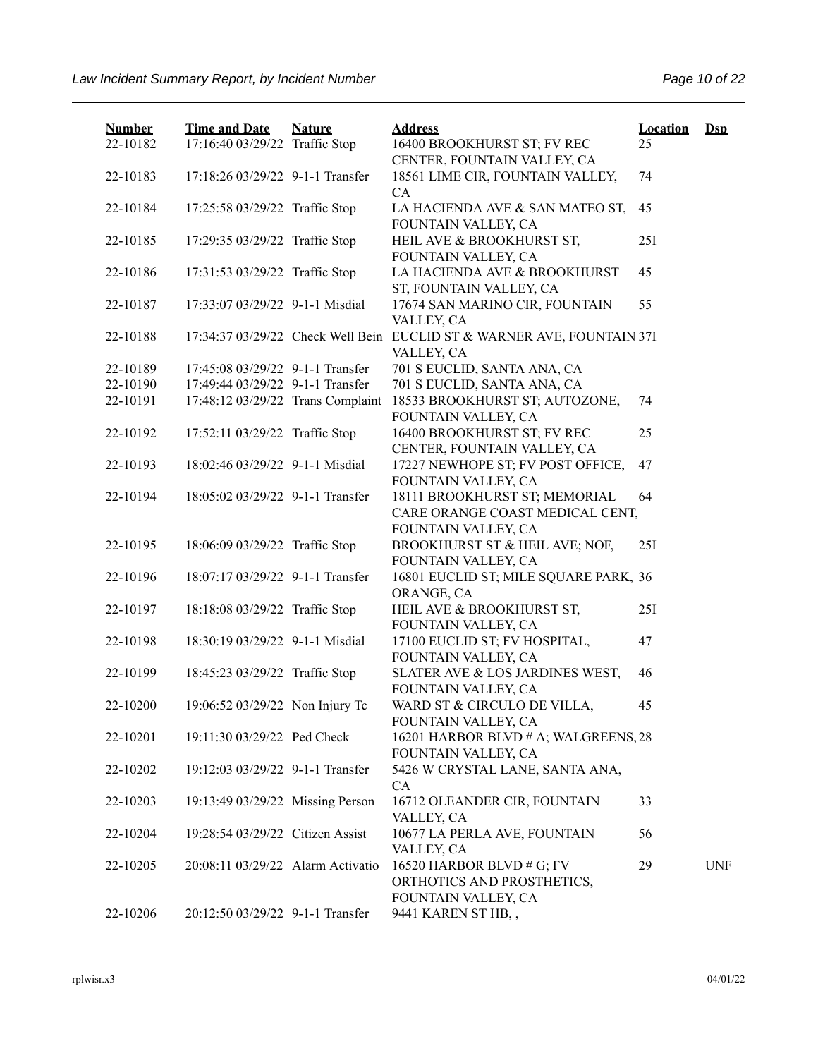| <b>Number</b><br>22-10182 | <b>Time and Date</b><br>17:16:40 03/29/22 Traffic Stop | <b>Nature</b> | <b>Address</b><br>16400 BROOKHURST ST; FV REC                                        | <b>Location</b><br>25 | $\mathbf{Dsp}$ |
|---------------------------|--------------------------------------------------------|---------------|--------------------------------------------------------------------------------------|-----------------------|----------------|
| 22-10183                  | 17:18:26 03/29/22 9-1-1 Transfer                       |               | CENTER, FOUNTAIN VALLEY, CA<br>18561 LIME CIR, FOUNTAIN VALLEY,                      | 74                    |                |
|                           |                                                        |               | CA                                                                                   |                       |                |
| 22-10184                  | 17:25:58 03/29/22 Traffic Stop                         |               | LA HACIENDA AVE & SAN MATEO ST,<br>FOUNTAIN VALLEY, CA                               | 45                    |                |
| 22-10185                  | 17:29:35 03/29/22 Traffic Stop                         |               | HEIL AVE & BROOKHURST ST,<br>FOUNTAIN VALLEY, CA                                     | 25I                   |                |
| 22-10186                  | 17:31:53 03/29/22 Traffic Stop                         |               | LA HACIENDA AVE & BROOKHURST<br>ST, FOUNTAIN VALLEY, CA                              | 45                    |                |
| 22-10187                  | 17:33:07 03/29/22 9-1-1 Misdial                        |               | 17674 SAN MARINO CIR, FOUNTAIN<br>VALLEY, CA                                         | 55                    |                |
| 22-10188                  |                                                        |               | 17:34:37 03/29/22 Check Well Bein EUCLID ST & WARNER AVE, FOUNTAIN 37I<br>VALLEY, CA |                       |                |
| 22-10189                  | 17:45:08 03/29/22 9-1-1 Transfer                       |               | 701 S EUCLID, SANTA ANA, CA                                                          |                       |                |
| 22-10190                  | 17:49:44 03/29/22 9-1-1 Transfer                       |               | 701 S EUCLID, SANTA ANA, CA                                                          |                       |                |
| 22-10191                  | 17:48:12 03/29/22 Trans Complaint                      |               | 18533 BROOKHURST ST; AUTOZONE,<br>FOUNTAIN VALLEY, CA                                | 74                    |                |
| 22-10192                  | 17:52:11 03/29/22 Traffic Stop                         |               | 16400 BROOKHURST ST; FV REC<br>CENTER, FOUNTAIN VALLEY, CA                           | 25                    |                |
| 22-10193                  | 18:02:46 03/29/22 9-1-1 Misdial                        |               | 17227 NEWHOPE ST; FV POST OFFICE,<br>FOUNTAIN VALLEY, CA                             | 47                    |                |
| 22-10194                  | 18:05:02 03/29/22 9-1-1 Transfer                       |               | 18111 BROOKHURST ST; MEMORIAL<br>CARE ORANGE COAST MEDICAL CENT,                     | 64                    |                |
|                           |                                                        |               | FOUNTAIN VALLEY, CA                                                                  |                       |                |
| 22-10195                  | 18:06:09 03/29/22 Traffic Stop                         |               | BROOKHURST ST & HEIL AVE; NOF,                                                       | 25I                   |                |
|                           |                                                        |               | FOUNTAIN VALLEY, CA                                                                  |                       |                |
| 22-10196                  | 18:07:17 03/29/22 9-1-1 Transfer                       |               | 16801 EUCLID ST; MILE SQUARE PARK, 36<br>ORANGE, CA                                  |                       |                |
| 22-10197                  | 18:18:08 03/29/22 Traffic Stop                         |               | HEIL AVE & BROOKHURST ST,<br>FOUNTAIN VALLEY, CA                                     | 25I                   |                |
| 22-10198                  | 18:30:19 03/29/22 9-1-1 Misdial                        |               | 17100 EUCLID ST; FV HOSPITAL,<br>FOUNTAIN VALLEY, CA                                 | 47                    |                |
| 22-10199                  | 18:45:23 03/29/22 Traffic Stop                         |               | SLATER AVE & LOS JARDINES WEST,<br>FOUNTAIN VALLEY, CA                               | 46                    |                |
| 22-10200                  | 19:06:52 03/29/22 Non Injury Tc                        |               | WARD ST & CIRCULO DE VILLA,<br>FOUNTAIN VALLEY, CA                                   | 45                    |                |
| 22-10201                  | 19:11:30 03/29/22 Ped Check                            |               | 16201 HARBOR BLVD # A; WALGREENS, 28<br>FOUNTAIN VALLEY, CA                          |                       |                |
| 22-10202                  | 19:12:03 03/29/22 9-1-1 Transfer                       |               | 5426 W CRYSTAL LANE, SANTA ANA,<br>CA                                                |                       |                |
| 22-10203                  | 19:13:49 03/29/22 Missing Person                       |               | 16712 OLEANDER CIR, FOUNTAIN<br>VALLEY, CA                                           | 33                    |                |
| 22-10204                  | 19:28:54 03/29/22 Citizen Assist                       |               | 10677 LA PERLA AVE, FOUNTAIN<br>VALLEY, CA                                           | 56                    |                |
| 22-10205                  | 20:08:11 03/29/22 Alarm Activatio                      |               | 16520 HARBOR BLVD # G; FV<br>ORTHOTICS AND PROSTHETICS,<br>FOUNTAIN VALLEY, CA       | 29                    | <b>UNF</b>     |
| 22-10206                  | 20:12:50 03/29/22 9-1-1 Transfer                       |               | 9441 KAREN ST HB,,                                                                   |                       |                |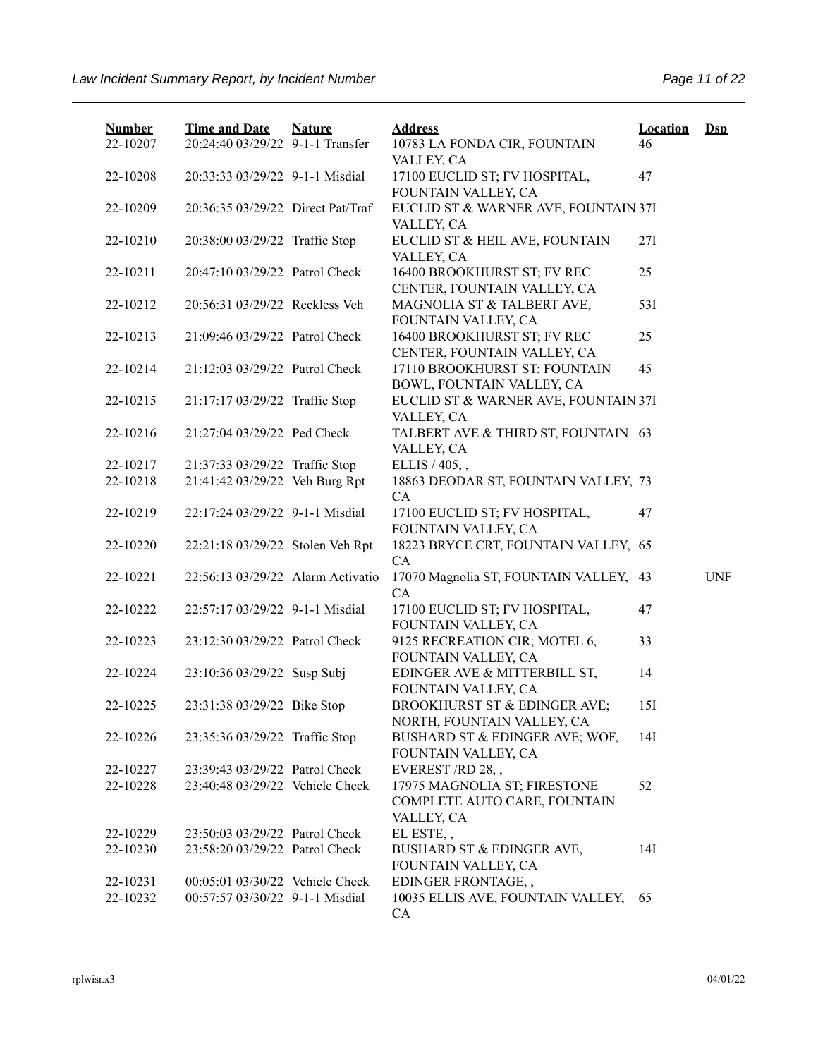| <b>Number</b> | <b>Time and Date</b>              | <b>Nature</b> | <b>Address</b>                                             | Location | $\mathbf{Dsp}$ |
|---------------|-----------------------------------|---------------|------------------------------------------------------------|----------|----------------|
| 22-10207      | 20:24:40 03/29/22 9-1-1 Transfer  |               | 10783 LA FONDA CIR, FOUNTAIN<br>VALLEY, CA                 | 46       |                |
| 22-10208      | 20:33:33 03/29/22 9-1-1 Misdial   |               | 17100 EUCLID ST; FV HOSPITAL,<br>FOUNTAIN VALLEY, CA       | 47       |                |
| 22-10209      | 20:36:35 03/29/22 Direct Pat/Traf |               | EUCLID ST & WARNER AVE, FOUNTAIN 37I<br>VALLEY, CA         |          |                |
| 22-10210      | 20:38:00 03/29/22 Traffic Stop    |               | EUCLID ST & HEIL AVE, FOUNTAIN<br>VALLEY, CA               | 27I      |                |
| 22-10211      | 20:47:10 03/29/22 Patrol Check    |               | 16400 BROOKHURST ST; FV REC<br>CENTER, FOUNTAIN VALLEY, CA | 25       |                |
| 22-10212      | 20:56:31 03/29/22 Reckless Veh    |               | MAGNOLIA ST & TALBERT AVE,<br>FOUNTAIN VALLEY, CA          | 53I      |                |
| 22-10213      | 21:09:46 03/29/22 Patrol Check    |               | 16400 BROOKHURST ST; FV REC<br>CENTER, FOUNTAIN VALLEY, CA | 25       |                |
| 22-10214      | 21:12:03 03/29/22 Patrol Check    |               | 17110 BROOKHURST ST; FOUNTAIN<br>BOWL, FOUNTAIN VALLEY, CA | 45       |                |
| 22-10215      | 21:17:17 03/29/22 Traffic Stop    |               | EUCLID ST & WARNER AVE, FOUNTAIN 37I<br>VALLEY, CA         |          |                |
| 22-10216      | 21:27:04 03/29/22 Ped Check       |               | TALBERT AVE & THIRD ST, FOUNTAIN 63<br>VALLEY, CA          |          |                |
| 22-10217      | 21:37:33 03/29/22 Traffic Stop    |               | ELLIS / 405,,                                              |          |                |
| 22-10218      | 21:41:42 03/29/22 Veh Burg Rpt    |               | 18863 DEODAR ST, FOUNTAIN VALLEY, 73<br><b>CA</b>          |          |                |
| 22-10219      | 22:17:24 03/29/22 9-1-1 Misdial   |               | 17100 EUCLID ST; FV HOSPITAL,<br>FOUNTAIN VALLEY, CA       | 47       |                |
| 22-10220      | 22:21:18 03/29/22 Stolen Veh Rpt  |               | 18223 BRYCE CRT, FOUNTAIN VALLEY, 65<br>CA                 |          |                |
| 22-10221      | 22:56:13 03/29/22 Alarm Activatio |               | 17070 Magnolia ST, FOUNTAIN VALLEY, 43<br>CA               |          | <b>UNF</b>     |
| 22-10222      | 22:57:17 03/29/22 9-1-1 Misdial   |               | 17100 EUCLID ST; FV HOSPITAL,<br>FOUNTAIN VALLEY, CA       | 47       |                |
| 22-10223      | 23:12:30 03/29/22 Patrol Check    |               | 9125 RECREATION CIR; MOTEL 6,<br>FOUNTAIN VALLEY, CA       | 33       |                |
| 22-10224      | 23:10:36 03/29/22 Susp Subj       |               | EDINGER AVE & MITTERBILL ST,<br>FOUNTAIN VALLEY, CA        | 14       |                |
| 22-10225      | 23:31:38 03/29/22 Bike Stop       |               | BROOKHURST ST & EDINGER AVE;<br>NORTH, FOUNTAIN VALLEY, CA | 15I      |                |
| 22-10226      | 23:35:36 03/29/22 Traffic Stop    |               | BUSHARD ST & EDINGER AVE; WOF,<br>FOUNTAIN VALLEY, CA      | 14I      |                |
| 22-10227      | 23:39:43 03/29/22 Patrol Check    |               | EVEREST/RD 28,,                                            |          |                |
| 22-10228      | 23:40:48 03/29/22 Vehicle Check   |               | 17975 MAGNOLIA ST; FIRESTONE                               | 52       |                |
|               |                                   |               | COMPLETE AUTO CARE, FOUNTAIN<br>VALLEY, CA                 |          |                |
| 22-10229      | 23:50:03 03/29/22 Patrol Check    |               | EL ESTE,,                                                  |          |                |
| 22-10230      | 23:58:20 03/29/22 Patrol Check    |               | BUSHARD ST & EDINGER AVE,<br>FOUNTAIN VALLEY, CA           | 14I      |                |
| 22-10231      | 00:05:01 03/30/22 Vehicle Check   |               | EDINGER FRONTAGE,,                                         |          |                |
| 22-10232      | 00:57:57 03/30/22 9-1-1 Misdial   |               | 10035 ELLIS AVE, FOUNTAIN VALLEY,<br>CA                    | 65       |                |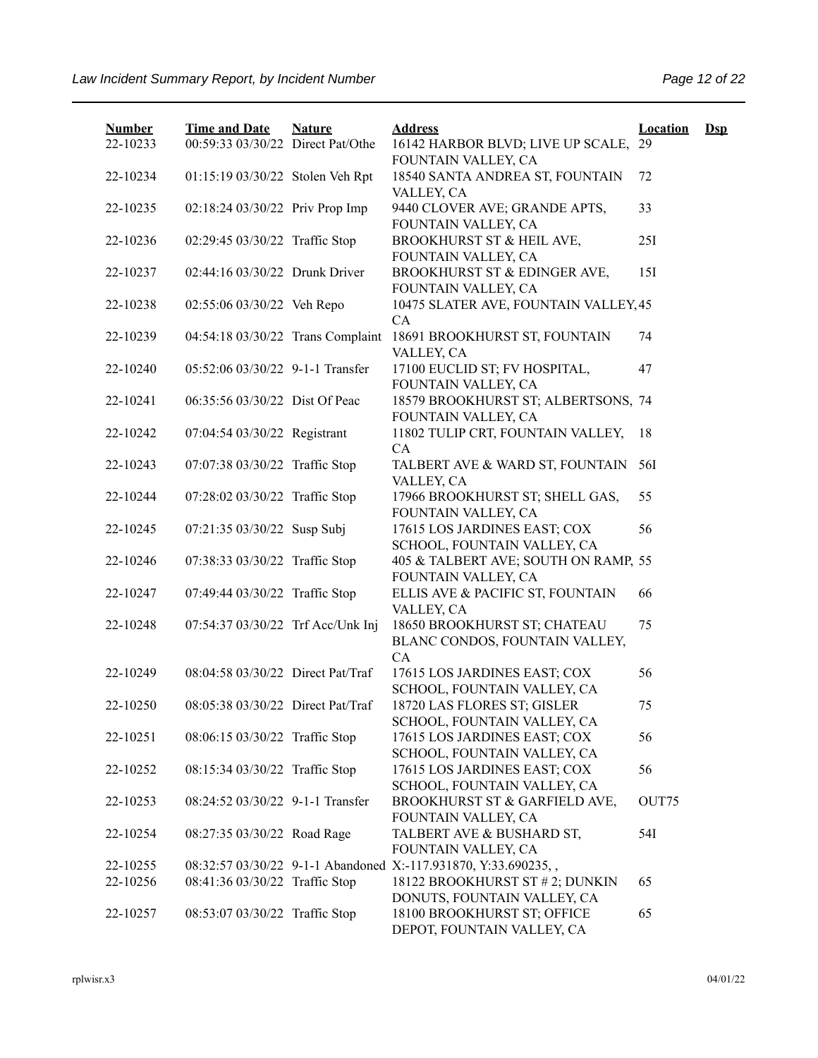| <b>Number</b><br>22-10233 | <b>Time and Date</b><br>00:59:33 03/30/22 Direct Pat/Othe | <b>Nature</b> | <b>Address</b><br>16142 HARBOR BLVD; LIVE UP SCALE, 29                    | <b>Location</b> | $\mathbf{Dsp}$ |
|---------------------------|-----------------------------------------------------------|---------------|---------------------------------------------------------------------------|-----------------|----------------|
| 22-10234                  | 01:15:19 03/30/22 Stolen Veh Rpt                          |               | FOUNTAIN VALLEY, CA<br>18540 SANTA ANDREA ST, FOUNTAIN                    | 72              |                |
| 22-10235                  | 02:18:24 03/30/22 Priv Prop Imp                           |               | VALLEY, CA<br>9440 CLOVER AVE; GRANDE APTS,                               | 33              |                |
| 22-10236                  | 02:29:45 03/30/22 Traffic Stop                            |               | FOUNTAIN VALLEY, CA<br>BROOKHURST ST & HEIL AVE,                          | 25I             |                |
| 22-10237                  | 02:44:16 03/30/22 Drunk Driver                            |               | FOUNTAIN VALLEY, CA<br>BROOKHURST ST & EDINGER AVE,                       | 151             |                |
| 22-10238                  | 02:55:06 03/30/22 Veh Repo                                |               | FOUNTAIN VALLEY, CA<br>10475 SLATER AVE, FOUNTAIN VALLEY, 45<br><b>CA</b> |                 |                |
| 22-10239                  | 04:54:18 03/30/22 Trans Complaint                         |               | 18691 BROOKHURST ST, FOUNTAIN<br>VALLEY, CA                               | 74              |                |
| 22-10240                  | 05:52:06 03/30/22 9-1-1 Transfer                          |               | 17100 EUCLID ST; FV HOSPITAL,<br>FOUNTAIN VALLEY, CA                      | 47              |                |
| 22-10241                  | 06:35:56 03/30/22 Dist Of Peac                            |               | 18579 BROOKHURST ST; ALBERTSONS, 74<br>FOUNTAIN VALLEY, CA                |                 |                |
| 22-10242                  | 07:04:54 03/30/22 Registrant                              |               | 11802 TULIP CRT, FOUNTAIN VALLEY,<br>CA                                   | 18              |                |
| 22-10243                  | 07:07:38 03/30/22 Traffic Stop                            |               | TALBERT AVE & WARD ST, FOUNTAIN<br>VALLEY, CA                             | 56I             |                |
| 22-10244                  | 07:28:02 03/30/22 Traffic Stop                            |               | 17966 BROOKHURST ST; SHELL GAS,<br>FOUNTAIN VALLEY, CA                    | 55              |                |
| 22-10245                  | 07:21:35 03/30/22 Susp Subj                               |               | 17615 LOS JARDINES EAST; COX<br>SCHOOL, FOUNTAIN VALLEY, CA               | 56              |                |
| 22-10246                  | 07:38:33 03/30/22 Traffic Stop                            |               | 405 & TALBERT AVE; SOUTH ON RAMP, 55<br>FOUNTAIN VALLEY, CA               |                 |                |
| 22-10247                  | 07:49:44 03/30/22 Traffic Stop                            |               | ELLIS AVE & PACIFIC ST, FOUNTAIN<br>VALLEY, CA                            | 66              |                |
| 22-10248                  | 07:54:37 03/30/22 Trf Acc/Unk Inj                         |               | 18650 BROOKHURST ST; CHATEAU<br>BLANC CONDOS, FOUNTAIN VALLEY,<br>CA      | 75              |                |
| 22-10249                  | 08:04:58 03/30/22 Direct Pat/Traf                         |               | 17615 LOS JARDINES EAST; COX<br>SCHOOL, FOUNTAIN VALLEY, CA               | 56              |                |
| 22-10250                  | 08:05:38 03/30/22 Direct Pat/Traf                         |               | 18720 LAS FLORES ST; GISLER<br>SCHOOL, FOUNTAIN VALLEY, CA                | 75              |                |
| 22-10251                  | 08:06:15 03/30/22 Traffic Stop                            |               | 17615 LOS JARDINES EAST; COX<br>SCHOOL, FOUNTAIN VALLEY, CA               | 56              |                |
| 22-10252                  | 08:15:34 03/30/22 Traffic Stop                            |               | 17615 LOS JARDINES EAST; COX<br>SCHOOL, FOUNTAIN VALLEY, CA               | 56              |                |
| 22-10253                  | 08:24:52 03/30/22 9-1-1 Transfer                          |               | BROOKHURST ST & GARFIELD AVE,<br>FOUNTAIN VALLEY, CA                      | OUT75           |                |
| 22-10254                  | 08:27:35 03/30/22 Road Rage                               |               | TALBERT AVE & BUSHARD ST,<br>FOUNTAIN VALLEY, CA                          | 54I             |                |
| 22-10255                  |                                                           |               | 08:32:57 03/30/22 9-1-1 Abandoned X:-117.931870, Y:33.690235,,            |                 |                |
| 22-10256                  | 08:41:36 03/30/22 Traffic Stop                            |               | 18122 BROOKHURST ST # 2; DUNKIN<br>DONUTS, FOUNTAIN VALLEY, CA            | 65              |                |
| 22-10257                  | 08:53:07 03/30/22 Traffic Stop                            |               | 18100 BROOKHURST ST; OFFICE<br>DEPOT, FOUNTAIN VALLEY, CA                 | 65              |                |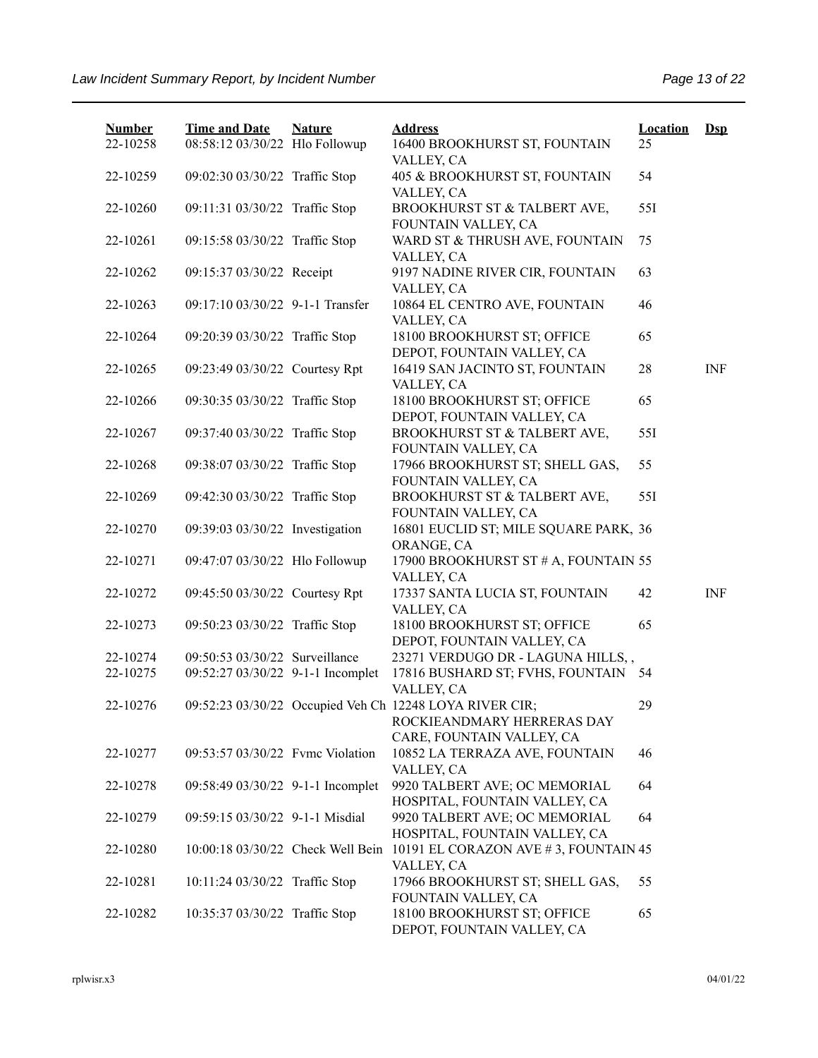| <b>Number</b> | <b>Time and Date</b>              | <b>Nature</b> | <b>Address</b>                                                                        | <b>Location</b> | $\mathbf{Dsp}$ |
|---------------|-----------------------------------|---------------|---------------------------------------------------------------------------------------|-----------------|----------------|
| 22-10258      | 08:58:12 03/30/22 Hlo Followup    |               | 16400 BROOKHURST ST, FOUNTAIN<br>VALLEY, CA                                           | 25              |                |
| 22-10259      | 09:02:30 03/30/22 Traffic Stop    |               | 405 & BROOKHURST ST, FOUNTAIN<br>VALLEY, CA                                           | 54              |                |
| 22-10260      | 09:11:31 03/30/22 Traffic Stop    |               | BROOKHURST ST & TALBERT AVE,<br>FOUNTAIN VALLEY, CA                                   | 551             |                |
| 22-10261      | 09:15:58 03/30/22 Traffic Stop    |               | WARD ST & THRUSH AVE, FOUNTAIN<br>VALLEY, CA                                          | 75              |                |
| 22-10262      | 09:15:37 03/30/22 Receipt         |               | 9197 NADINE RIVER CIR, FOUNTAIN<br>VALLEY, CA                                         | 63              |                |
| 22-10263      | 09:17:10 03/30/22 9-1-1 Transfer  |               | 10864 EL CENTRO AVE, FOUNTAIN<br>VALLEY, CA                                           | 46              |                |
| 22-10264      | 09:20:39 03/30/22 Traffic Stop    |               | 18100 BROOKHURST ST; OFFICE<br>DEPOT, FOUNTAIN VALLEY, CA                             | 65              |                |
| 22-10265      | 09:23:49 03/30/22 Courtesy Rpt    |               | 16419 SAN JACINTO ST, FOUNTAIN<br>VALLEY, CA                                          | 28              | <b>INF</b>     |
| 22-10266      | 09:30:35 03/30/22 Traffic Stop    |               | 18100 BROOKHURST ST; OFFICE<br>DEPOT, FOUNTAIN VALLEY, CA                             | 65              |                |
| 22-10267      | 09:37:40 03/30/22 Traffic Stop    |               | BROOKHURST ST & TALBERT AVE,<br>FOUNTAIN VALLEY, CA                                   | 551             |                |
| 22-10268      | 09:38:07 03/30/22 Traffic Stop    |               | 17966 BROOKHURST ST; SHELL GAS,<br>FOUNTAIN VALLEY, CA                                | 55              |                |
| 22-10269      | 09:42:30 03/30/22 Traffic Stop    |               | BROOKHURST ST & TALBERT AVE,<br>FOUNTAIN VALLEY, CA                                   | 55I             |                |
| 22-10270      | 09:39:03 03/30/22 Investigation   |               | 16801 EUCLID ST; MILE SQUARE PARK, 36<br>ORANGE, CA                                   |                 |                |
| 22-10271      | 09:47:07 03/30/22 Hlo Followup    |               | 17900 BROOKHURST ST # A, FOUNTAIN 55<br>VALLEY, CA                                    |                 |                |
| 22-10272      | 09:45:50 03/30/22 Courtesy Rpt    |               | 17337 SANTA LUCIA ST, FOUNTAIN<br>VALLEY, CA                                          | 42              | <b>INF</b>     |
| 22-10273      | 09:50:23 03/30/22 Traffic Stop    |               | 18100 BROOKHURST ST; OFFICE<br>DEPOT, FOUNTAIN VALLEY, CA                             | 65              |                |
| 22-10274      | 09:50:53 03/30/22 Surveillance    |               | 23271 VERDUGO DR - LAGUNA HILLS,,                                                     |                 |                |
| 22-10275      | 09:52:27 03/30/22 9-1-1 Incomplet |               | 17816 BUSHARD ST; FVHS, FOUNTAIN 54<br>VALLEY, CA                                     |                 |                |
| 22-10276      |                                   |               | 09:52:23 03/30/22 Occupied Veh Ch 12248 LOYA RIVER CIR;<br>ROCKIEANDMARY HERRERAS DAY | 29              |                |
| 22-10277      | 09:53:57 03/30/22 Fvmc Violation  |               | CARE, FOUNTAIN VALLEY, CA<br>10852 LA TERRAZA AVE, FOUNTAIN                           | 46              |                |
| 22-10278      | 09:58:49 03/30/22 9-1-1 Incomplet |               | VALLEY, CA<br>9920 TALBERT AVE; OC MEMORIAL<br>HOSPITAL, FOUNTAIN VALLEY, CA          | 64              |                |
| 22-10279      | 09:59:15 03/30/22 9-1-1 Misdial   |               | 9920 TALBERT AVE; OC MEMORIAL<br>HOSPITAL, FOUNTAIN VALLEY, CA                        | 64              |                |
| 22-10280      | 10:00:18 03/30/22 Check Well Bein |               | 10191 EL CORAZON AVE #3, FOUNTAIN 45<br>VALLEY, CA                                    |                 |                |
| 22-10281      | 10:11:24 03/30/22 Traffic Stop    |               | 17966 BROOKHURST ST; SHELL GAS,<br>FOUNTAIN VALLEY, CA                                | 55              |                |
| 22-10282      | 10:35:37 03/30/22 Traffic Stop    |               | 18100 BROOKHURST ST; OFFICE<br>DEPOT, FOUNTAIN VALLEY, CA                             | 65              |                |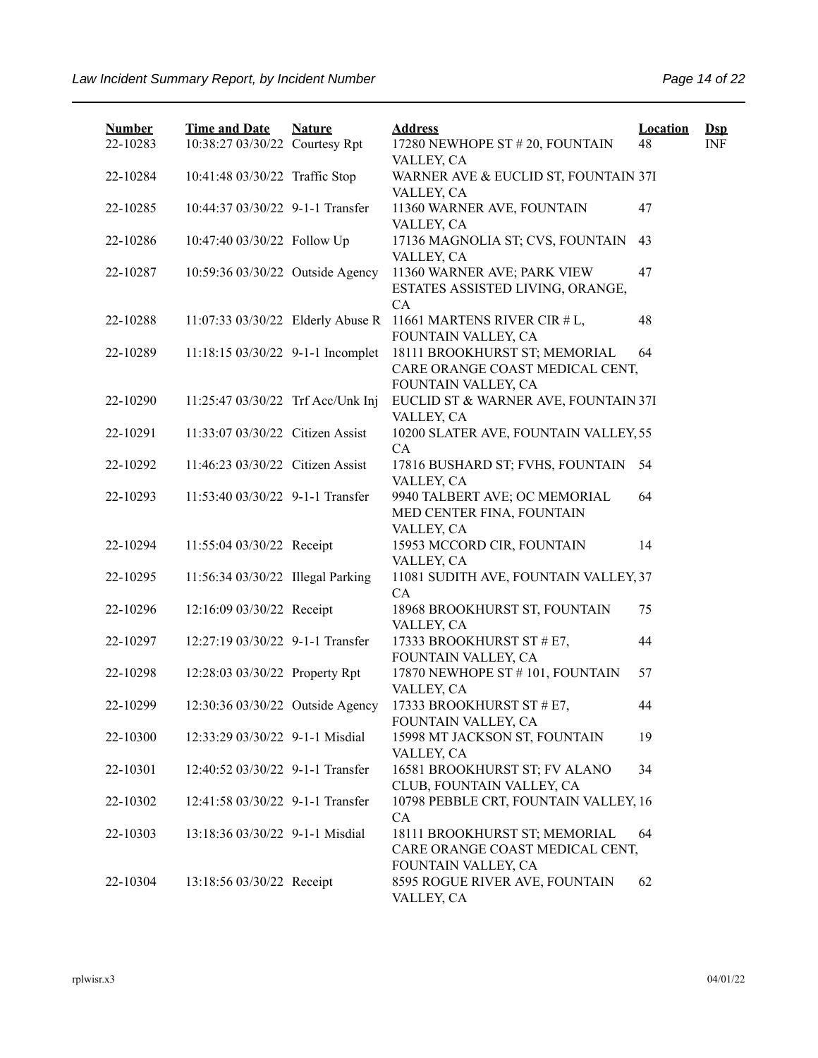| <b>Number</b> | <b>Time and Date</b>              | <b>Nature</b> | <b>Address</b>                                                                          | <b>Location</b> | $\mathbf{Dsp}$ |
|---------------|-----------------------------------|---------------|-----------------------------------------------------------------------------------------|-----------------|----------------|
| 22-10283      | 10:38:27 03/30/22 Courtesy Rpt    |               | 17280 NEWHOPE ST # 20, FOUNTAIN<br>VALLEY, CA                                           | 48              | INF            |
| 22-10284      | 10:41:48 03/30/22 Traffic Stop    |               | WARNER AVE & EUCLID ST, FOUNTAIN 37I<br>VALLEY, CA                                      |                 |                |
| 22-10285      | 10:44:37 03/30/22 9-1-1 Transfer  |               | 11360 WARNER AVE, FOUNTAIN<br>VALLEY, CA                                                | 47              |                |
| 22-10286      | 10:47:40 03/30/22 Follow Up       |               | 17136 MAGNOLIA ST; CVS, FOUNTAIN<br>VALLEY, CA                                          | 43              |                |
| 22-10287      | 10:59:36 03/30/22 Outside Agency  |               | 11360 WARNER AVE; PARK VIEW<br>ESTATES ASSISTED LIVING, ORANGE,<br>CA                   | 47              |                |
| 22-10288      | 11:07:33 03/30/22 Elderly Abuse R |               | 11661 MARTENS RIVER CIR # L,<br>FOUNTAIN VALLEY, CA                                     | 48              |                |
| 22-10289      | 11:18:15 03/30/22 9-1-1 Incomplet |               | 18111 BROOKHURST ST; MEMORIAL<br>CARE ORANGE COAST MEDICAL CENT,<br>FOUNTAIN VALLEY, CA | 64              |                |
| 22-10290      | 11:25:47 03/30/22 Trf Acc/Unk Inj |               | EUCLID ST & WARNER AVE, FOUNTAIN 37I<br>VALLEY, CA                                      |                 |                |
| 22-10291      | 11:33:07 03/30/22 Citizen Assist  |               | 10200 SLATER AVE, FOUNTAIN VALLEY, 55<br>CA                                             |                 |                |
| 22-10292      | 11:46:23 03/30/22 Citizen Assist  |               | 17816 BUSHARD ST; FVHS, FOUNTAIN<br>VALLEY, CA                                          | 54              |                |
| 22-10293      | 11:53:40 03/30/22 9-1-1 Transfer  |               | 9940 TALBERT AVE; OC MEMORIAL<br>MED CENTER FINA, FOUNTAIN<br>VALLEY, CA                | 64              |                |
| 22-10294      | 11:55:04 03/30/22 Receipt         |               | 15953 MCCORD CIR, FOUNTAIN<br>VALLEY, CA                                                | 14              |                |
| 22-10295      | 11:56:34 03/30/22 Illegal Parking |               | 11081 SUDITH AVE, FOUNTAIN VALLEY, 37<br>CA                                             |                 |                |
| 22-10296      | 12:16:09 03/30/22 Receipt         |               | 18968 BROOKHURST ST, FOUNTAIN<br>VALLEY, CA                                             | 75              |                |
| 22-10297      | 12:27:19 03/30/22 9-1-1 Transfer  |               | 17333 BROOKHURST ST # E7,<br>FOUNTAIN VALLEY, CA                                        | 44              |                |
| 22-10298      | 12:28:03 03/30/22 Property Rpt    |               | 17870 NEWHOPE ST #101, FOUNTAIN<br>VALLEY, CA                                           | 57              |                |
| 22-10299      | 12:30:36 03/30/22 Outside Agency  |               | 17333 BROOKHURST ST # E7,<br>FOUNTAIN VALLEY, CA                                        | 44              |                |
| 22-10300      | 12:33:29 03/30/22 9-1-1 Misdial   |               | 15998 MT JACKSON ST, FOUNTAIN<br>VALLEY, CA                                             | 19              |                |
| 22-10301      | 12:40:52 03/30/22 9-1-1 Transfer  |               | 16581 BROOKHURST ST; FV ALANO<br>CLUB, FOUNTAIN VALLEY, CA                              | 34              |                |
| 22-10302      | 12:41:58 03/30/22 9-1-1 Transfer  |               | 10798 PEBBLE CRT, FOUNTAIN VALLEY, 16<br>CA                                             |                 |                |
| 22-10303      | 13:18:36 03/30/22 9-1-1 Misdial   |               | 18111 BROOKHURST ST; MEMORIAL<br>CARE ORANGE COAST MEDICAL CENT,<br>FOUNTAIN VALLEY, CA | 64              |                |
| 22-10304      | 13:18:56 03/30/22 Receipt         |               | 8595 ROGUE RIVER AVE, FOUNTAIN<br>VALLEY, CA                                            | 62              |                |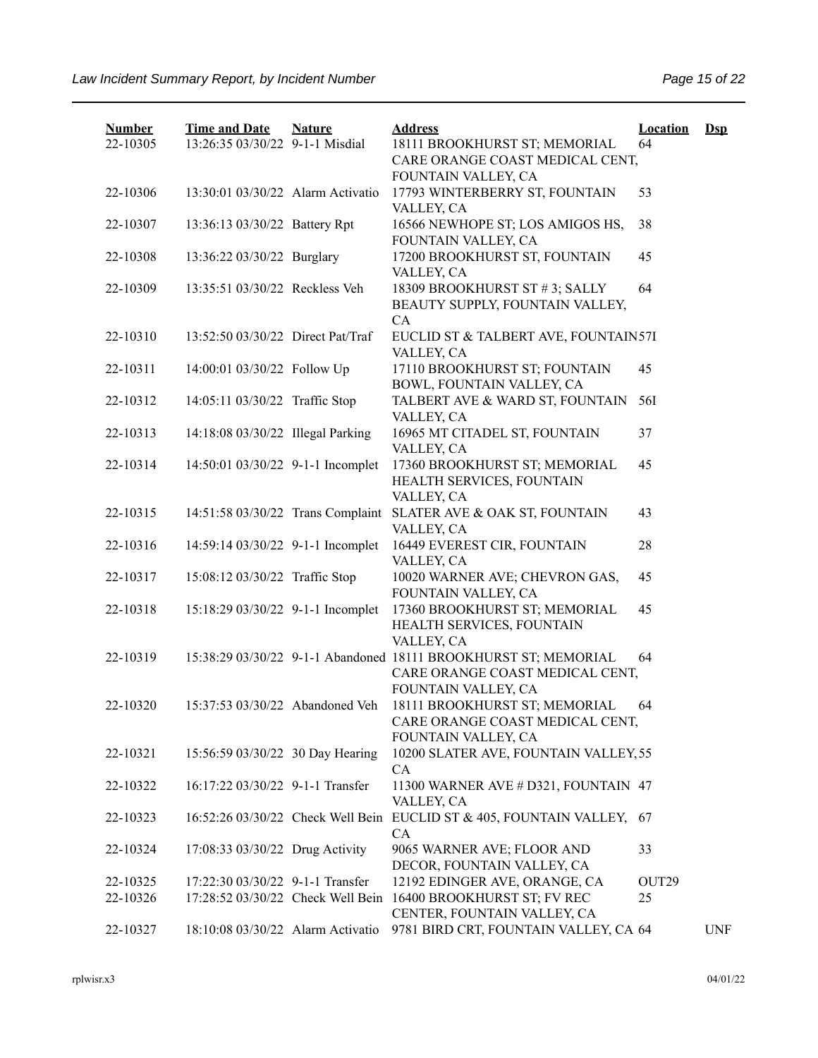| <b>Number</b> | <b>Time and Date</b>              | <b>Nature</b> | <b>Address</b>                                                                                     | <b>Location</b>   | $\mathbf{Dsp}$ |
|---------------|-----------------------------------|---------------|----------------------------------------------------------------------------------------------------|-------------------|----------------|
| 22-10305      | 13:26:35 03/30/22 9-1-1 Misdial   |               | 18111 BROOKHURST ST; MEMORIAL<br>CARE ORANGE COAST MEDICAL CENT,                                   | 64                |                |
|               |                                   |               | FOUNTAIN VALLEY, CA                                                                                |                   |                |
| 22-10306      | 13:30:01 03/30/22 Alarm Activatio |               | 17793 WINTERBERRY ST, FOUNTAIN<br>VALLEY, CA                                                       | 53                |                |
| 22-10307      | 13:36:13 03/30/22 Battery Rpt     |               | 16566 NEWHOPE ST; LOS AMIGOS HS,<br>FOUNTAIN VALLEY, CA                                            | 38                |                |
| 22-10308      | 13:36:22 03/30/22 Burglary        |               | 17200 BROOKHURST ST, FOUNTAIN<br>VALLEY, CA                                                        | 45                |                |
| 22-10309      | 13:35:51 03/30/22 Reckless Veh    |               | 18309 BROOKHURST ST #3; SALLY<br>BEAUTY SUPPLY, FOUNTAIN VALLEY,<br>CA                             | 64                |                |
| 22-10310      | 13:52:50 03/30/22 Direct Pat/Traf |               | EUCLID ST & TALBERT AVE, FOUNTAIN57I<br>VALLEY, CA                                                 |                   |                |
| 22-10311      | 14:00:01 03/30/22 Follow Up       |               | 17110 BROOKHURST ST; FOUNTAIN<br>BOWL, FOUNTAIN VALLEY, CA                                         | 45                |                |
| 22-10312      | 14:05:11 03/30/22 Traffic Stop    |               | TALBERT AVE & WARD ST, FOUNTAIN<br>VALLEY, CA                                                      | 56I               |                |
| 22-10313      | 14:18:08 03/30/22 Illegal Parking |               | 16965 MT CITADEL ST, FOUNTAIN<br>VALLEY, CA                                                        | 37                |                |
| 22-10314      | 14:50:01 03/30/22 9-1-1 Incomplet |               | 17360 BROOKHURST ST; MEMORIAL<br>HEALTH SERVICES, FOUNTAIN                                         | 45                |                |
| 22-10315      | 14:51:58 03/30/22 Trans Complaint |               | VALLEY, CA<br>SLATER AVE & OAK ST, FOUNTAIN<br>VALLEY, CA                                          | 43                |                |
| 22-10316      | 14:59:14 03/30/22 9-1-1 Incomplet |               | 16449 EVEREST CIR, FOUNTAIN<br>VALLEY, CA                                                          | 28                |                |
| 22-10317      | 15:08:12 03/30/22 Traffic Stop    |               | 10020 WARNER AVE; CHEVRON GAS,<br>FOUNTAIN VALLEY, CA                                              | 45                |                |
| 22-10318      | 15:18:29 03/30/22 9-1-1 Incomplet |               | 17360 BROOKHURST ST; MEMORIAL<br>HEALTH SERVICES, FOUNTAIN<br>VALLEY, CA                           | 45                |                |
| 22-10319      |                                   |               | 15:38:29 03/30/22 9-1-1 Abandoned 18111 BROOKHURST ST; MEMORIAL<br>CARE ORANGE COAST MEDICAL CENT, | 64                |                |
|               |                                   |               | FOUNTAIN VALLEY, CA                                                                                |                   |                |
| 22-10320      | 15:37:53 03/30/22 Abandoned Veh   |               | 18111 BROOKHURST ST; MEMORIAL<br>CARE ORANGE COAST MEDICAL CENT,<br>FOUNTAIN VALLEY, CA            | 64                |                |
| 22-10321      | 15:56:59 03/30/22 30 Day Hearing  |               | 10200 SLATER AVE, FOUNTAIN VALLEY, 55<br><b>CA</b>                                                 |                   |                |
| 22-10322      | 16:17:22 03/30/22 9-1-1 Transfer  |               | 11300 WARNER AVE # D321, FOUNTAIN 47<br>VALLEY, CA                                                 |                   |                |
| 22-10323      | 16:52:26 03/30/22 Check Well Bein |               | EUCLID ST & 405, FOUNTAIN VALLEY, 67<br>CA                                                         |                   |                |
| 22-10324      | 17:08:33 03/30/22 Drug Activity   |               | 9065 WARNER AVE; FLOOR AND<br>DECOR, FOUNTAIN VALLEY, CA                                           | 33                |                |
| 22-10325      | 17:22:30 03/30/22 9-1-1 Transfer  |               | 12192 EDINGER AVE, ORANGE, CA                                                                      | OUT <sub>29</sub> |                |
| 22-10326      | 17:28:52 03/30/22 Check Well Bein |               | 16400 BROOKHURST ST; FV REC                                                                        | 25                |                |
|               |                                   |               | CENTER, FOUNTAIN VALLEY, CA                                                                        |                   |                |
| 22-10327      | 18:10:08 03/30/22 Alarm Activatio |               | 9781 BIRD CRT, FOUNTAIN VALLEY, CA 64                                                              |                   | <b>UNF</b>     |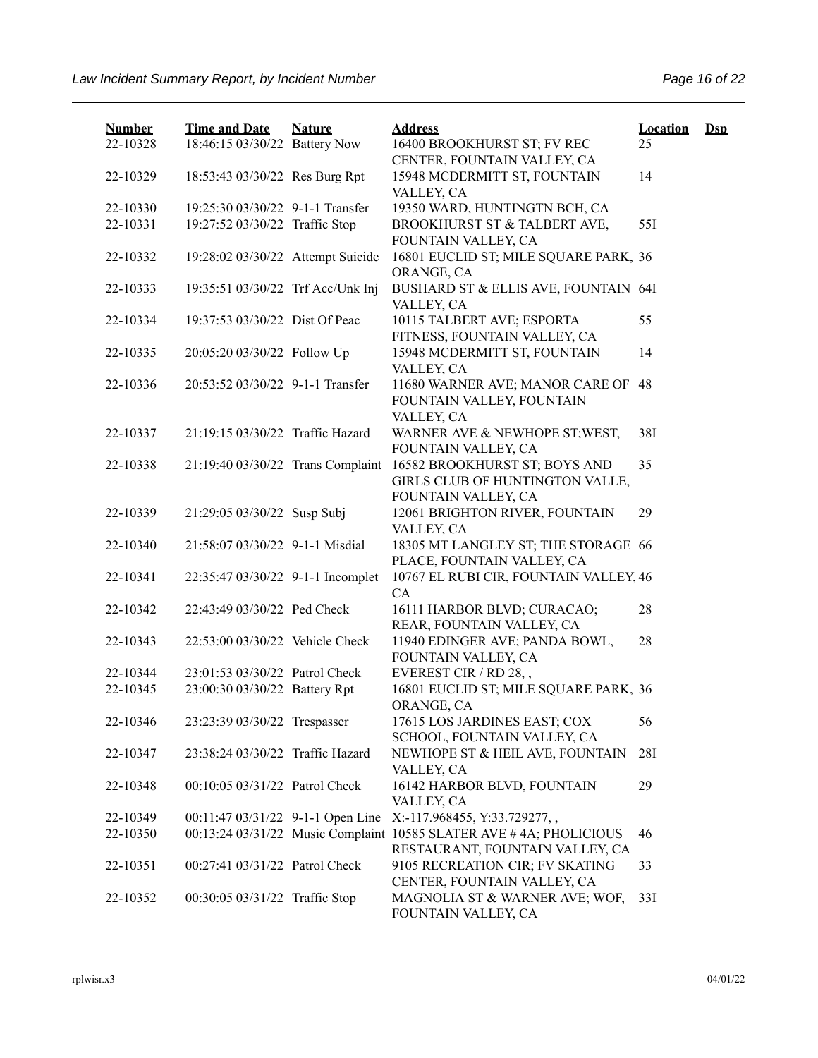| <b>Number</b> | <b>Time and Date</b>              | <b>Nature</b> | <b>Address</b>                                                                                        | <b>Location</b> | $\mathbf{Dsp}$ |
|---------------|-----------------------------------|---------------|-------------------------------------------------------------------------------------------------------|-----------------|----------------|
| 22-10328      | 18:46:15 03/30/22 Battery Now     |               | 16400 BROOKHURST ST; FV REC<br>CENTER, FOUNTAIN VALLEY, CA                                            | 25              |                |
| 22-10329      | 18:53:43 03/30/22 Res Burg Rpt    |               | 15948 MCDERMITT ST, FOUNTAIN<br>VALLEY, CA                                                            | 14              |                |
| 22-10330      | 19:25:30 03/30/22 9-1-1 Transfer  |               | 19350 WARD, HUNTINGTN BCH, CA                                                                         |                 |                |
| 22-10331      | 19:27:52 03/30/22 Traffic Stop    |               | BROOKHURST ST & TALBERT AVE,<br>FOUNTAIN VALLEY, CA                                                   | 551             |                |
| 22-10332      | 19:28:02 03/30/22 Attempt Suicide |               | 16801 EUCLID ST; MILE SQUARE PARK, 36<br>ORANGE, CA                                                   |                 |                |
| 22-10333      | 19:35:51 03/30/22 Trf Acc/Unk Inj |               | BUSHARD ST & ELLIS AVE, FOUNTAIN 64I<br>VALLEY, CA                                                    |                 |                |
| 22-10334      | 19:37:53 03/30/22 Dist Of Peac    |               | 10115 TALBERT AVE; ESPORTA<br>FITNESS, FOUNTAIN VALLEY, CA                                            | 55              |                |
| 22-10335      | 20:05:20 03/30/22 Follow Up       |               | 15948 MCDERMITT ST, FOUNTAIN<br>VALLEY, CA                                                            | 14              |                |
| 22-10336      | 20:53:52 03/30/22 9-1-1 Transfer  |               | 11680 WARNER AVE; MANOR CARE OF<br>FOUNTAIN VALLEY, FOUNTAIN<br>VALLEY, CA                            | 48              |                |
| 22-10337      | 21:19:15 03/30/22 Traffic Hazard  |               | WARNER AVE & NEWHOPE ST; WEST,<br>FOUNTAIN VALLEY, CA                                                 | 38I             |                |
| 22-10338      | 21:19:40 03/30/22 Trans Complaint |               | 16582 BROOKHURST ST; BOYS AND<br>GIRLS CLUB OF HUNTINGTON VALLE,<br>FOUNTAIN VALLEY, CA               | 35              |                |
| 22-10339      | 21:29:05 03/30/22 Susp Subj       |               | 12061 BRIGHTON RIVER, FOUNTAIN<br>VALLEY, CA                                                          | 29              |                |
| 22-10340      | 21:58:07 03/30/22 9-1-1 Misdial   |               | 18305 MT LANGLEY ST; THE STORAGE 66<br>PLACE, FOUNTAIN VALLEY, CA                                     |                 |                |
| 22-10341      | 22:35:47 03/30/22 9-1-1 Incomplet |               | 10767 EL RUBI CIR, FOUNTAIN VALLEY, 46<br>CA                                                          |                 |                |
| 22-10342      | 22:43:49 03/30/22 Ped Check       |               | 16111 HARBOR BLVD; CURACAO;<br>REAR, FOUNTAIN VALLEY, CA                                              | 28              |                |
| 22-10343      | 22:53:00 03/30/22 Vehicle Check   |               | 11940 EDINGER AVE; PANDA BOWL,<br>FOUNTAIN VALLEY, CA                                                 | 28              |                |
| 22-10344      | 23:01:53 03/30/22 Patrol Check    |               | EVEREST CIR / RD 28,,                                                                                 |                 |                |
| 22-10345      | 23:00:30 03/30/22 Battery Rpt     |               | 16801 EUCLID ST; MILE SQUARE PARK, 36<br>ORANGE, CA                                                   |                 |                |
| 22-10346      | 23:23:39 03/30/22 Trespasser      |               | 17615 LOS JARDINES EAST; COX<br>SCHOOL, FOUNTAIN VALLEY, CA                                           | 56              |                |
| 22-10347      | 23:38:24 03/30/22 Traffic Hazard  |               | NEWHOPE ST & HEIL AVE, FOUNTAIN<br>VALLEY, CA                                                         | 28I             |                |
| 22-10348      | 00:10:05 03/31/22 Patrol Check    |               | 16142 HARBOR BLVD, FOUNTAIN<br>VALLEY, CA                                                             | 29              |                |
| 22-10349      | 00:11:47 03/31/22 9-1-1 Open Line |               | X:-117.968455, Y:33.729277,,                                                                          |                 |                |
| 22-10350      |                                   |               | 00:13:24 03/31/22 Music Complaint 10585 SLATER AVE #4A; PHOLICIOUS<br>RESTAURANT, FOUNTAIN VALLEY, CA | 46              |                |
| 22-10351      | 00:27:41 03/31/22 Patrol Check    |               | 9105 RECREATION CIR; FV SKATING<br>CENTER, FOUNTAIN VALLEY, CA                                        | 33              |                |
| 22-10352      | 00:30:05 03/31/22 Traffic Stop    |               | MAGNOLIA ST & WARNER AVE; WOF,<br>FOUNTAIN VALLEY, CA                                                 | 33I             |                |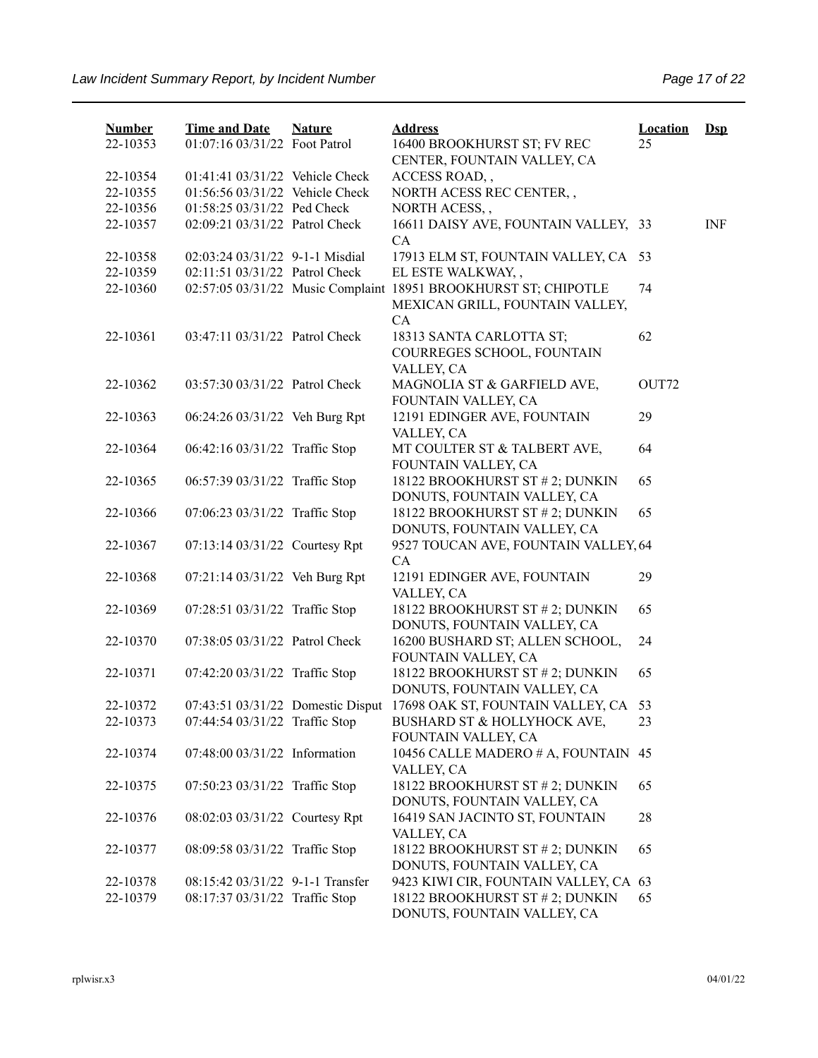| <b>Number</b> | <b>Time and Date</b>             | <b>Nature</b> | <b>Address</b>                                                                                     | <b>Location</b> | $\mathbf{Dsp}$ |
|---------------|----------------------------------|---------------|----------------------------------------------------------------------------------------------------|-----------------|----------------|
| 22-10353      | 01:07:16 03/31/22 Foot Patrol    |               | 16400 BROOKHURST ST; FV REC                                                                        | 25              |                |
|               |                                  |               | CENTER, FOUNTAIN VALLEY, CA                                                                        |                 |                |
| 22-10354      | 01:41:41 03/31/22 Vehicle Check  |               | ACCESS ROAD,,                                                                                      |                 |                |
| 22-10355      | 01:56:56 03/31/22 Vehicle Check  |               | NORTH ACESS REC CENTER,,                                                                           |                 |                |
| 22-10356      | 01:58:25 03/31/22 Ped Check      |               | NORTH ACESS,,                                                                                      |                 |                |
| 22-10357      | 02:09:21 03/31/22 Patrol Check   |               | 16611 DAISY AVE, FOUNTAIN VALLEY, 33<br><b>CA</b>                                                  |                 | <b>INF</b>     |
| 22-10358      | 02:03:24 03/31/22 9-1-1 Misdial  |               | 17913 ELM ST, FOUNTAIN VALLEY, CA                                                                  | 53              |                |
| 22-10359      | 02:11:51 03/31/22 Patrol Check   |               | EL ESTE WALKWAY,,                                                                                  |                 |                |
| 22-10360      |                                  |               | 02:57:05 03/31/22 Music Complaint 18951 BROOKHURST ST; CHIPOTLE<br>MEXICAN GRILL, FOUNTAIN VALLEY, | 74              |                |
| 22-10361      | 03:47:11 03/31/22 Patrol Check   |               | CA<br>18313 SANTA CARLOTTA ST;<br>COURREGES SCHOOL, FOUNTAIN<br>VALLEY, CA                         | 62              |                |
| 22-10362      | 03:57:30 03/31/22 Patrol Check   |               | MAGNOLIA ST & GARFIELD AVE,<br>FOUNTAIN VALLEY, CA                                                 | OUT72           |                |
| 22-10363      | 06:24:26 03/31/22 Veh Burg Rpt   |               | 12191 EDINGER AVE, FOUNTAIN<br>VALLEY, CA                                                          | 29              |                |
| 22-10364      | 06:42:16 03/31/22 Traffic Stop   |               | MT COULTER ST & TALBERT AVE,<br>FOUNTAIN VALLEY, CA                                                | 64              |                |
| 22-10365      | 06:57:39 03/31/22 Traffic Stop   |               | 18122 BROOKHURST ST # 2; DUNKIN<br>DONUTS, FOUNTAIN VALLEY, CA                                     | 65              |                |
| 22-10366      | 07:06:23 03/31/22 Traffic Stop   |               | 18122 BROOKHURST ST # 2; DUNKIN<br>DONUTS, FOUNTAIN VALLEY, CA                                     | 65              |                |
| 22-10367      | 07:13:14 03/31/22 Courtesy Rpt   |               | 9527 TOUCAN AVE, FOUNTAIN VALLEY, 64<br>CA                                                         |                 |                |
| 22-10368      | 07:21:14 03/31/22 Veh Burg Rpt   |               | 12191 EDINGER AVE, FOUNTAIN<br>VALLEY, CA                                                          | 29              |                |
| 22-10369      | 07:28:51 03/31/22 Traffic Stop   |               | 18122 BROOKHURST ST # 2; DUNKIN<br>DONUTS, FOUNTAIN VALLEY, CA                                     | 65              |                |
| 22-10370      | 07:38:05 03/31/22 Patrol Check   |               | 16200 BUSHARD ST; ALLEN SCHOOL,<br>FOUNTAIN VALLEY, CA                                             | 24              |                |
| 22-10371      | 07:42:20 03/31/22 Traffic Stop   |               | 18122 BROOKHURST ST # 2; DUNKIN<br>DONUTS, FOUNTAIN VALLEY, CA                                     | 65              |                |
| 22-10372      |                                  |               | 07:43:51 03/31/22 Domestic Disput 17698 OAK ST, FOUNTAIN VALLEY, CA                                | 53              |                |
| 22-10373      | 07:44:54 03/31/22 Traffic Stop   |               | BUSHARD ST & HOLLYHOCK AVE,<br>FOUNTAIN VALLEY, CA                                                 | 23              |                |
| 22-10374      | 07:48:00 03/31/22 Information    |               | 10456 CALLE MADERO # A, FOUNTAIN 45<br>VALLEY, CA                                                  |                 |                |
| 22-10375      | 07:50:23 03/31/22 Traffic Stop   |               | 18122 BROOKHURST ST # 2; DUNKIN<br>DONUTS, FOUNTAIN VALLEY, CA                                     | 65              |                |
| 22-10376      | 08:02:03 03/31/22 Courtesy Rpt   |               | 16419 SAN JACINTO ST, FOUNTAIN<br>VALLEY, CA                                                       | 28              |                |
| 22-10377      | 08:09:58 03/31/22 Traffic Stop   |               | 18122 BROOKHURST ST # 2; DUNKIN<br>DONUTS, FOUNTAIN VALLEY, CA                                     | 65              |                |
| 22-10378      | 08:15:42 03/31/22 9-1-1 Transfer |               | 9423 KIWI CIR, FOUNTAIN VALLEY, CA 63                                                              |                 |                |
| 22-10379      | 08:17:37 03/31/22 Traffic Stop   |               | 18122 BROOKHURST ST # 2; DUNKIN<br>DONUTS, FOUNTAIN VALLEY, CA                                     | 65              |                |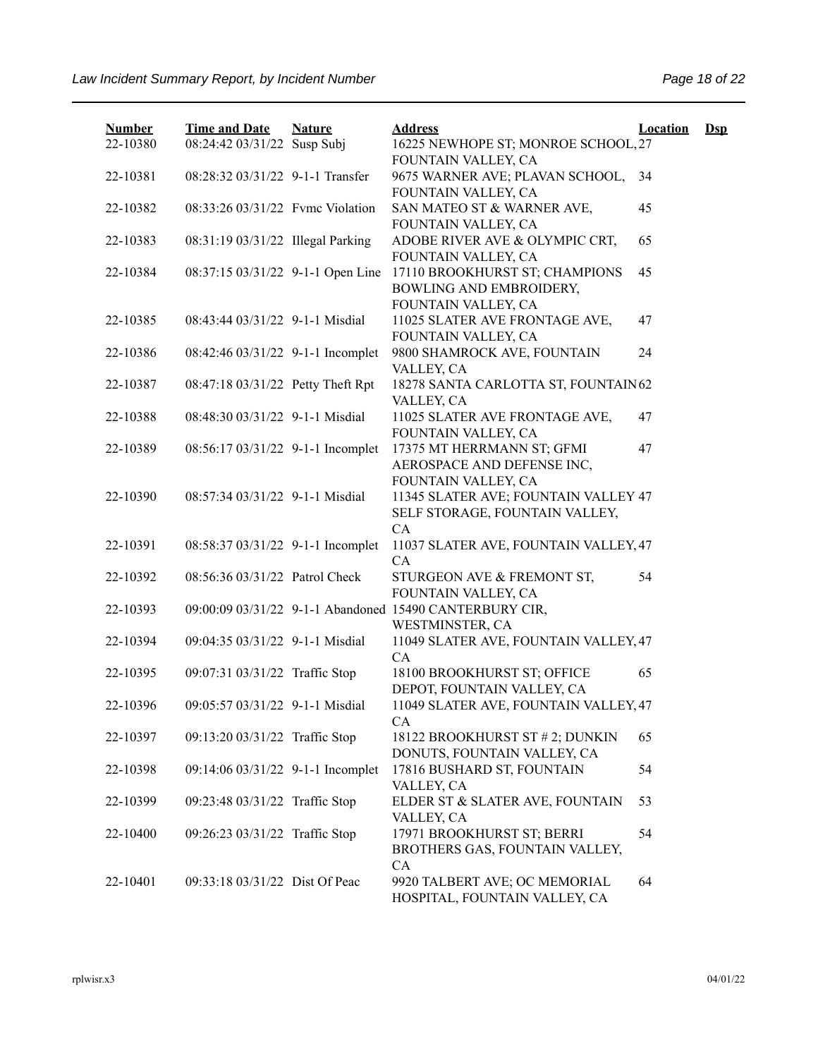| <b>Number</b> | <b>Time and Date</b>              | <b>Nature</b> | <b>Address</b>                                                                   | <b>Location</b> | $\mathbf{Dsp}$ |
|---------------|-----------------------------------|---------------|----------------------------------------------------------------------------------|-----------------|----------------|
| 22-10380      | 08:24:42 03/31/22 Susp Subj       |               | 16225 NEWHOPE ST; MONROE SCHOOL, 27<br>FOUNTAIN VALLEY, CA                       |                 |                |
| 22-10381      | 08:28:32 03/31/22 9-1-1 Transfer  |               | 9675 WARNER AVE; PLAVAN SCHOOL,<br>FOUNTAIN VALLEY, CA                           | 34              |                |
| 22-10382      | 08:33:26 03/31/22 Fyme Violation  |               | SAN MATEO ST & WARNER AVE,<br>FOUNTAIN VALLEY, CA                                | 45              |                |
| 22-10383      | 08:31:19 03/31/22 Illegal Parking |               | ADOBE RIVER AVE & OLYMPIC CRT,<br>FOUNTAIN VALLEY, CA                            | 65              |                |
| 22-10384      | 08:37:15 03/31/22 9-1-1 Open Line |               | 17110 BROOKHURST ST; CHAMPIONS<br>BOWLING AND EMBROIDERY,<br>FOUNTAIN VALLEY, CA | 45              |                |
| 22-10385      | 08:43:44 03/31/22 9-1-1 Misdial   |               | 11025 SLATER AVE FRONTAGE AVE,<br>FOUNTAIN VALLEY, CA                            | 47              |                |
| 22-10386      | 08:42:46 03/31/22 9-1-1 Incomplet |               | 9800 SHAMROCK AVE, FOUNTAIN<br>VALLEY, CA                                        | 24              |                |
| 22-10387      | 08:47:18 03/31/22 Petty Theft Rpt |               | 18278 SANTA CARLOTTA ST, FOUNTAIN 62<br>VALLEY, CA                               |                 |                |
| 22-10388      | 08:48:30 03/31/22 9-1-1 Misdial   |               | 11025 SLATER AVE FRONTAGE AVE,<br>FOUNTAIN VALLEY, CA                            | 47              |                |
| 22-10389      | 08:56:17 03/31/22 9-1-1 Incomplet |               | 17375 MT HERRMANN ST; GFMI<br>AEROSPACE AND DEFENSE INC,<br>FOUNTAIN VALLEY, CA  | 47              |                |
| 22-10390      | 08:57:34 03/31/22 9-1-1 Misdial   |               | 11345 SLATER AVE; FOUNTAIN VALLEY 47<br>SELF STORAGE, FOUNTAIN VALLEY,<br>CA     |                 |                |
| 22-10391      | 08:58:37 03/31/22 9-1-1 Incomplet |               | 11037 SLATER AVE, FOUNTAIN VALLEY, 47<br><b>CA</b>                               |                 |                |
| 22-10392      | 08:56:36 03/31/22 Patrol Check    |               | STURGEON AVE & FREMONT ST,<br>FOUNTAIN VALLEY, CA                                | 54              |                |
| 22-10393      |                                   |               | 09:00:09 03/31/22 9-1-1 Abandoned 15490 CANTERBURY CIR,<br>WESTMINSTER, CA       |                 |                |
| 22-10394      | 09:04:35 03/31/22 9-1-1 Misdial   |               | 11049 SLATER AVE, FOUNTAIN VALLEY, 47<br><b>CA</b>                               |                 |                |
| 22-10395      | 09:07:31 03/31/22 Traffic Stop    |               | 18100 BROOKHURST ST; OFFICE<br>DEPOT, FOUNTAIN VALLEY, CA                        | 65              |                |
| 22-10396      | 09:05:57 03/31/22 9-1-1 Misdial   |               | 11049 SLATER AVE, FOUNTAIN VALLEY, 47<br>CA                                      |                 |                |
| 22-10397      | 09:13:20 03/31/22 Traffic Stop    |               | 18122 BROOKHURST ST # 2; DUNKIN<br>DONUTS, FOUNTAIN VALLEY, CA                   | 65              |                |
| 22-10398      | 09:14:06 03/31/22 9-1-1 Incomplet |               | 17816 BUSHARD ST, FOUNTAIN<br>VALLEY, CA                                         | 54              |                |
| 22-10399      | 09:23:48 03/31/22 Traffic Stop    |               | ELDER ST & SLATER AVE, FOUNTAIN<br>VALLEY, CA                                    | 53              |                |
| 22-10400      | 09:26:23 03/31/22 Traffic Stop    |               | 17971 BROOKHURST ST; BERRI<br>BROTHERS GAS, FOUNTAIN VALLEY,<br><b>CA</b>        | 54              |                |
| 22-10401      | 09:33:18 03/31/22 Dist Of Peac    |               | 9920 TALBERT AVE; OC MEMORIAL<br>HOSPITAL, FOUNTAIN VALLEY, CA                   | 64              |                |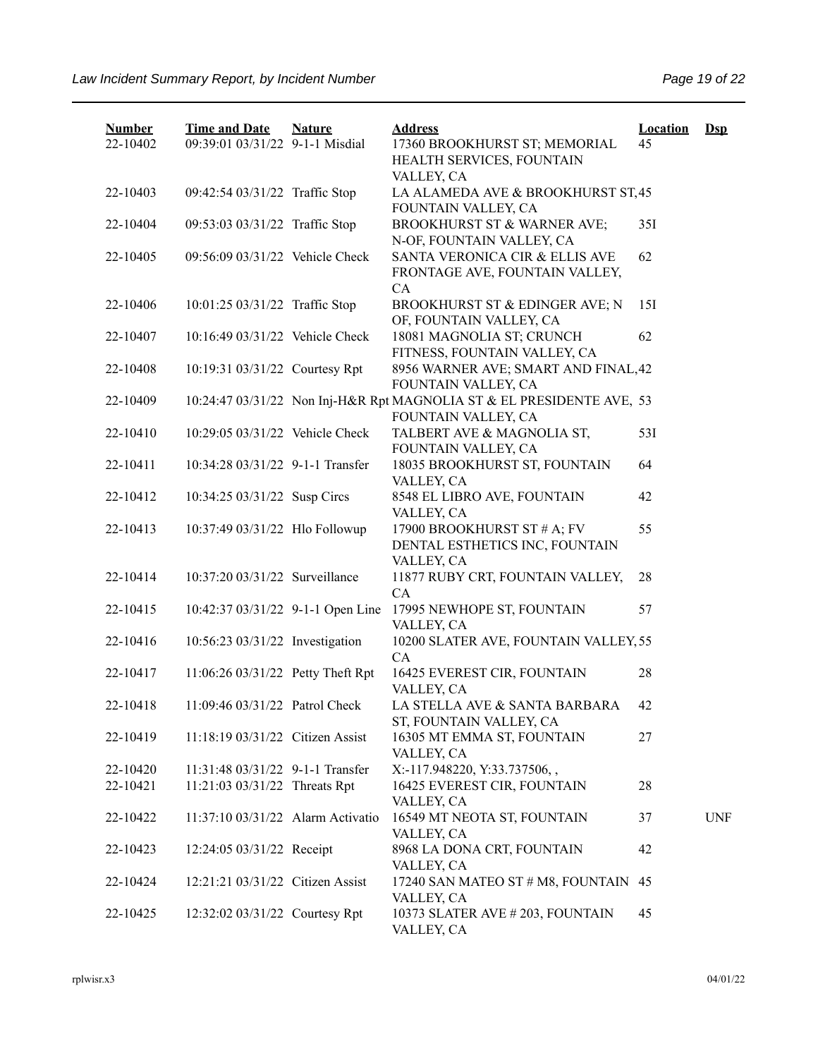| <b>Number</b><br>22-10402 | <b>Time and Date</b><br>09:39:01 03/31/22 9-1-1 Misdial | <b>Nature</b> | <b>Address</b><br>17360 BROOKHURST ST; MEMORIAL<br>HEALTH SERVICES, FOUNTAIN                 | <b>Location</b><br>45 | $\mathbf{Dsp}$ |
|---------------------------|---------------------------------------------------------|---------------|----------------------------------------------------------------------------------------------|-----------------------|----------------|
| 22-10403                  | 09:42:54 03/31/22 Traffic Stop                          |               | VALLEY, CA<br>LA ALAMEDA AVE & BROOKHURST ST, 45<br>FOUNTAIN VALLEY, CA                      |                       |                |
| 22-10404                  | 09:53:03 03/31/22 Traffic Stop                          |               | BROOKHURST ST & WARNER AVE;<br>N-OF, FOUNTAIN VALLEY, CA                                     | 35I                   |                |
| 22-10405                  | 09:56:09 03/31/22 Vehicle Check                         |               | SANTA VERONICA CIR & ELLIS AVE<br>FRONTAGE AVE, FOUNTAIN VALLEY,<br>CA                       | 62                    |                |
| 22-10406                  | 10:01:25 03/31/22 Traffic Stop                          |               | BROOKHURST ST & EDINGER AVE; N<br>OF, FOUNTAIN VALLEY, CA                                    | 15I                   |                |
| 22-10407                  | 10:16:49 03/31/22 Vehicle Check                         |               | 18081 MAGNOLIA ST; CRUNCH<br>FITNESS, FOUNTAIN VALLEY, CA                                    | 62                    |                |
| 22-10408                  | 10:19:31 03/31/22 Courtesy Rpt                          |               | 8956 WARNER AVE; SMART AND FINAL, 42<br>FOUNTAIN VALLEY, CA                                  |                       |                |
| 22-10409                  |                                                         |               | 10:24:47 03/31/22 Non Inj-H&R Rpt MAGNOLIA ST & EL PRESIDENTE AVE, 53<br>FOUNTAIN VALLEY, CA |                       |                |
| 22-10410                  | 10:29:05 03/31/22 Vehicle Check                         |               | TALBERT AVE & MAGNOLIA ST,<br>FOUNTAIN VALLEY, CA                                            | 53I                   |                |
| 22-10411                  | 10:34:28 03/31/22 9-1-1 Transfer                        |               | 18035 BROOKHURST ST, FOUNTAIN<br>VALLEY, CA                                                  | 64                    |                |
| 22-10412                  | 10:34:25 03/31/22 Susp Circs                            |               | 8548 EL LIBRO AVE, FOUNTAIN<br>VALLEY, CA                                                    | 42                    |                |
| 22-10413                  | 10:37:49 03/31/22 Hlo Followup                          |               | 17900 BROOKHURST ST # A; FV<br>DENTAL ESTHETICS INC, FOUNTAIN<br>VALLEY, CA                  | 55                    |                |
| 22-10414                  | 10:37:20 03/31/22 Surveillance                          |               | 11877 RUBY CRT, FOUNTAIN VALLEY,<br>CA                                                       | 28                    |                |
| 22-10415                  | 10:42:37 03/31/22 9-1-1 Open Line                       |               | 17995 NEWHOPE ST, FOUNTAIN<br>VALLEY, CA                                                     | 57                    |                |
| 22-10416                  | 10:56:23 03/31/22 Investigation                         |               | 10200 SLATER AVE, FOUNTAIN VALLEY, 55<br>CA                                                  |                       |                |
| 22-10417                  | 11:06:26 03/31/22 Petty Theft Rpt                       |               | 16425 EVEREST CIR, FOUNTAIN<br>VALLEY, CA                                                    | 28                    |                |
| 22-10418                  | 11:09:46 03/31/22 Patrol Check                          |               | LA STELLA AVE & SANTA BARBARA<br>ST, FOUNTAIN VALLEY, CA                                     | 42                    |                |
| 22-10419                  | 11:18:19 03/31/22 Citizen Assist                        |               | 16305 MT EMMA ST, FOUNTAIN<br>VALLEY, CA                                                     | 27                    |                |
| 22-10420                  | 11:31:48 03/31/22 9-1-1 Transfer                        |               | X:-117.948220, Y:33.737506,,                                                                 |                       |                |
| 22-10421                  | 11:21:03 03/31/22 Threats Rpt                           |               | 16425 EVEREST CIR, FOUNTAIN<br>VALLEY, CA                                                    | 28                    |                |
| 22-10422                  | 11:37:10 03/31/22 Alarm Activatio                       |               | 16549 MT NEOTA ST, FOUNTAIN<br>VALLEY, CA                                                    | 37                    | <b>UNF</b>     |
| 22-10423                  | 12:24:05 03/31/22 Receipt                               |               | 8968 LA DONA CRT, FOUNTAIN<br>VALLEY, CA                                                     | 42                    |                |
| 22-10424                  | 12:21:21 03/31/22 Citizen Assist                        |               | 17240 SAN MATEO ST # M8, FOUNTAIN 45<br>VALLEY, CA                                           |                       |                |
| 22-10425                  | 12:32:02 03/31/22 Courtesy Rpt                          |               | 10373 SLATER AVE # 203, FOUNTAIN<br>VALLEY, CA                                               | 45                    |                |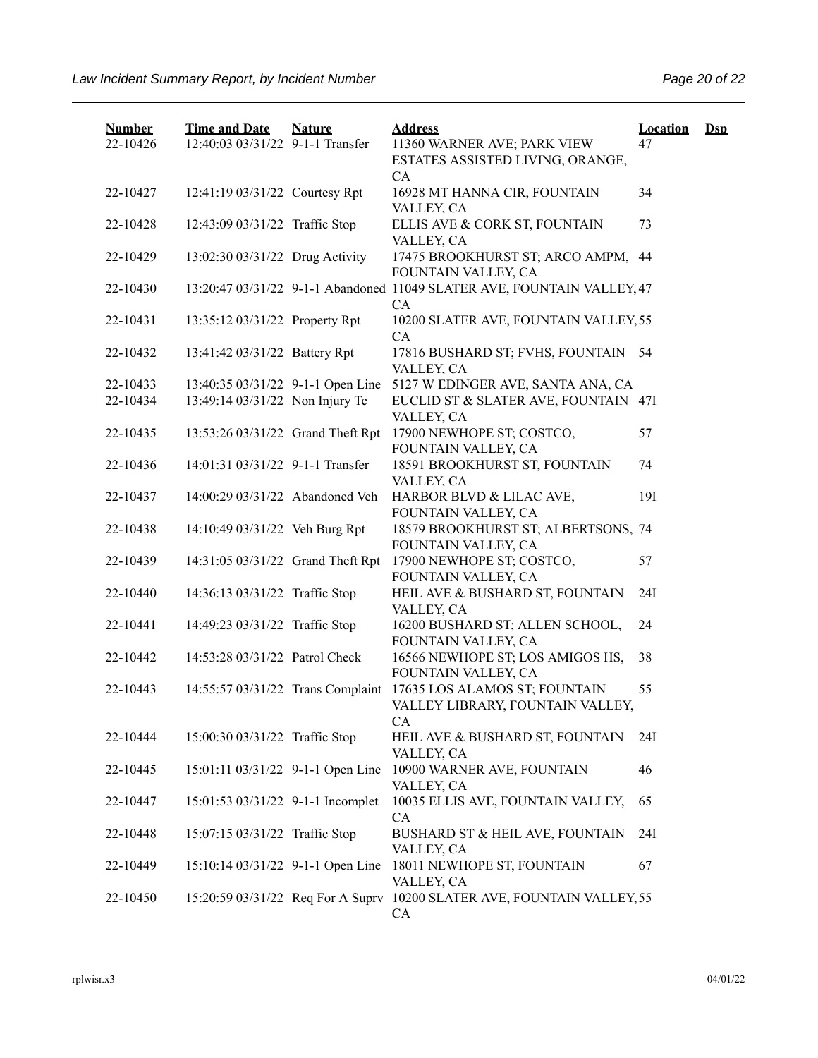| <b>Number</b> | <b>Time and Date</b>              | <b>Nature</b> | <b>Address</b>                                                                       | <b>Location</b> | $\mathbf{Dsp}$ |
|---------------|-----------------------------------|---------------|--------------------------------------------------------------------------------------|-----------------|----------------|
| 22-10426      | 12:40:03 03/31/22 9-1-1 Transfer  |               | 11360 WARNER AVE; PARK VIEW<br>ESTATES ASSISTED LIVING, ORANGE,<br>CA                | 47              |                |
| 22-10427      | 12:41:19 03/31/22 Courtesy Rpt    |               | 16928 MT HANNA CIR, FOUNTAIN<br>VALLEY, CA                                           | 34              |                |
| 22-10428      | 12:43:09 03/31/22 Traffic Stop    |               | ELLIS AVE & CORK ST, FOUNTAIN<br>VALLEY, CA                                          | 73              |                |
| 22-10429      | 13:02:30 03/31/22 Drug Activity   |               | 17475 BROOKHURST ST; ARCO AMPM, 44<br>FOUNTAIN VALLEY, CA                            |                 |                |
| 22-10430      |                                   |               | 13:20:47 03/31/22 9-1-1 Abandoned 11049 SLATER AVE, FOUNTAIN VALLEY, 47<br><b>CA</b> |                 |                |
| 22-10431      | 13:35:12 03/31/22 Property Rpt    |               | 10200 SLATER AVE, FOUNTAIN VALLEY, 55<br><b>CA</b>                                   |                 |                |
| 22-10432      | 13:41:42 03/31/22 Battery Rpt     |               | 17816 BUSHARD ST; FVHS, FOUNTAIN<br>VALLEY, CA                                       | 54              |                |
| 22-10433      | 13:40:35 03/31/22 9-1-1 Open Line |               | 5127 W EDINGER AVE, SANTA ANA, CA                                                    |                 |                |
| 22-10434      | 13:49:14 03/31/22 Non Injury Tc   |               | EUCLID ST & SLATER AVE, FOUNTAIN 47I<br>VALLEY, CA                                   |                 |                |
| 22-10435      | 13:53:26 03/31/22 Grand Theft Rpt |               | 17900 NEWHOPE ST; COSTCO,<br>FOUNTAIN VALLEY, CA                                     | 57              |                |
| 22-10436      | 14:01:31 03/31/22 9-1-1 Transfer  |               | 18591 BROOKHURST ST, FOUNTAIN<br>VALLEY, CA                                          | 74              |                |
| 22-10437      | 14:00:29 03/31/22 Abandoned Veh   |               | HARBOR BLVD & LILAC AVE,<br>FOUNTAIN VALLEY, CA                                      | 191             |                |
| 22-10438      | 14:10:49 03/31/22 Veh Burg Rpt    |               | 18579 BROOKHURST ST; ALBERTSONS, 74<br>FOUNTAIN VALLEY, CA                           |                 |                |
| 22-10439      | 14:31:05 03/31/22 Grand Theft Rpt |               | 17900 NEWHOPE ST; COSTCO,<br>FOUNTAIN VALLEY, CA                                     | 57              |                |
| 22-10440      | 14:36:13 03/31/22 Traffic Stop    |               | HEIL AVE & BUSHARD ST, FOUNTAIN<br>VALLEY, CA                                        | 24I             |                |
| 22-10441      | 14:49:23 03/31/22 Traffic Stop    |               | 16200 BUSHARD ST; ALLEN SCHOOL,<br>FOUNTAIN VALLEY, CA                               | 24              |                |
| 22-10442      | 14:53:28 03/31/22 Patrol Check    |               | 16566 NEWHOPE ST; LOS AMIGOS HS,<br>FOUNTAIN VALLEY, CA                              | 38              |                |
| 22-10443      | 14:55:57 03/31/22 Trans Complaint |               | 17635 LOS ALAMOS ST; FOUNTAIN<br>VALLEY LIBRARY, FOUNTAIN VALLEY,<br>CA              | 55              |                |
| 22-10444      | 15:00:30 03/31/22 Traffic Stop    |               | HEIL AVE & BUSHARD ST, FOUNTAIN<br>VALLEY, CA                                        | 24I             |                |
| 22-10445      | 15:01:11 03/31/22 9-1-1 Open Line |               | 10900 WARNER AVE, FOUNTAIN<br>VALLEY, CA                                             | 46              |                |
| 22-10447      | 15:01:53 03/31/22 9-1-1 Incomplet |               | 10035 ELLIS AVE, FOUNTAIN VALLEY,<br>CA                                              | 65              |                |
| 22-10448      | 15:07:15 03/31/22 Traffic Stop    |               | BUSHARD ST & HEIL AVE, FOUNTAIN<br>VALLEY, CA                                        | 24I             |                |
| 22-10449      | 15:10:14 03/31/22 9-1-1 Open Line |               | 18011 NEWHOPE ST, FOUNTAIN<br>VALLEY, CA                                             | 67              |                |
| 22-10450      |                                   |               | 15:20:59 03/31/22 Req For A Suprv 10200 SLATER AVE, FOUNTAIN VALLEY, 55<br>CA        |                 |                |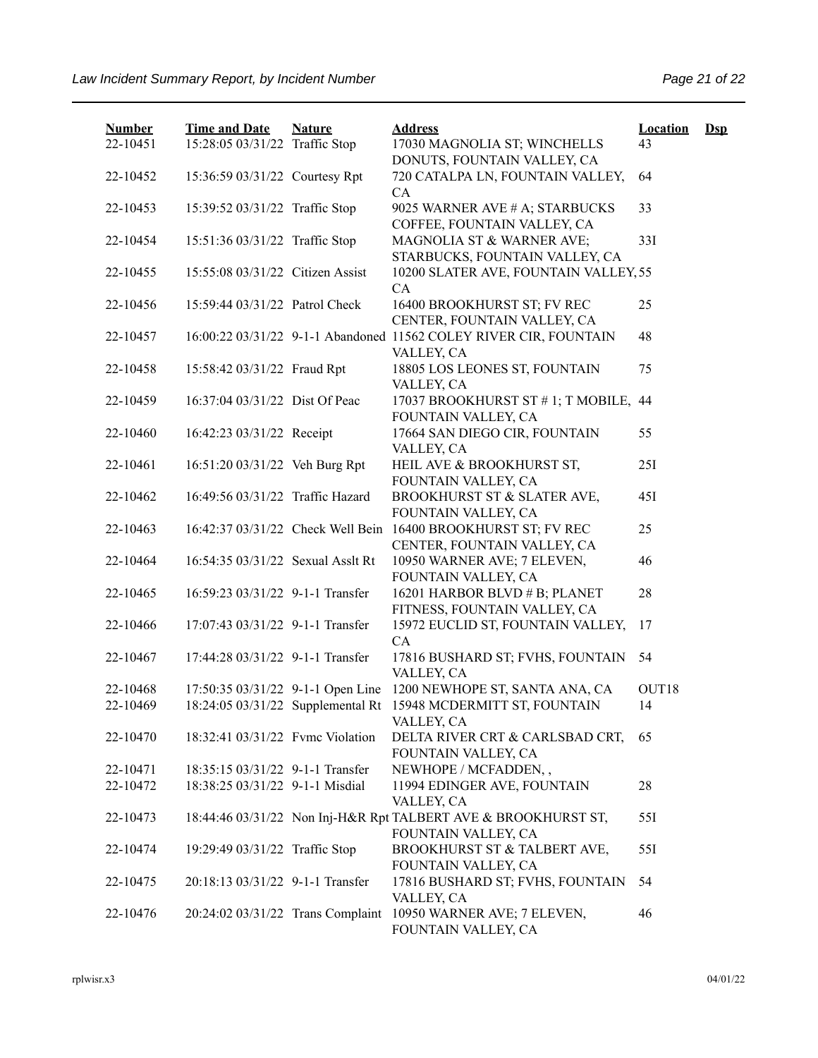| <b>Number</b> | <b>Time and Date</b>              | <b>Nature</b> | <b>Address</b>                                                                                   | <b>Location</b>   | $\mathbf{Dsp}$ |
|---------------|-----------------------------------|---------------|--------------------------------------------------------------------------------------------------|-------------------|----------------|
| 22-10451      | 15:28:05 03/31/22 Traffic Stop    |               | 17030 MAGNOLIA ST; WINCHELLS<br>DONUTS, FOUNTAIN VALLEY, CA                                      | 43                |                |
| 22-10452      | 15:36:59 03/31/22 Courtesy Rpt    |               | 720 CATALPA LN, FOUNTAIN VALLEY,<br><b>CA</b>                                                    | 64                |                |
| 22-10453      | 15:39:52 03/31/22 Traffic Stop    |               | 9025 WARNER AVE # A; STARBUCKS<br>COFFEE, FOUNTAIN VALLEY, CA                                    | 33                |                |
| 22-10454      | 15:51:36 03/31/22 Traffic Stop    |               | MAGNOLIA ST & WARNER AVE;<br>STARBUCKS, FOUNTAIN VALLEY, CA                                      | 33I               |                |
| 22-10455      | 15:55:08 03/31/22 Citizen Assist  |               | 10200 SLATER AVE, FOUNTAIN VALLEY, 55<br>CA                                                      |                   |                |
| 22-10456      | 15:59:44 03/31/22 Patrol Check    |               | 16400 BROOKHURST ST; FV REC                                                                      | 25                |                |
| 22-10457      |                                   |               | CENTER, FOUNTAIN VALLEY, CA<br>16:00:22 03/31/22 9-1-1 Abandoned 11562 COLEY RIVER CIR, FOUNTAIN | 48                |                |
| 22-10458      | 15:58:42 03/31/22 Fraud Rpt       |               | VALLEY, CA<br>18805 LOS LEONES ST, FOUNTAIN                                                      | 75                |                |
| 22-10459      | 16:37:04 03/31/22 Dist Of Peac    |               | VALLEY, CA<br>17037 BROOKHURST ST #1; T MOBILE, 44<br>FOUNTAIN VALLEY, CA                        |                   |                |
| 22-10460      | 16:42:23 03/31/22 Receipt         |               | 17664 SAN DIEGO CIR, FOUNTAIN<br>VALLEY, CA                                                      | 55                |                |
| 22-10461      | 16:51:20 03/31/22 Veh Burg Rpt    |               | HEIL AVE & BROOKHURST ST,<br>FOUNTAIN VALLEY, CA                                                 | 251               |                |
| 22-10462      | 16:49:56 03/31/22 Traffic Hazard  |               | BROOKHURST ST & SLATER AVE,<br>FOUNTAIN VALLEY, CA                                               | 45I               |                |
| 22-10463      | 16:42:37 03/31/22 Check Well Bein |               | 16400 BROOKHURST ST; FV REC<br>CENTER, FOUNTAIN VALLEY, CA                                       | 25                |                |
| 22-10464      | 16:54:35 03/31/22 Sexual Asslt Rt |               | 10950 WARNER AVE; 7 ELEVEN,<br>FOUNTAIN VALLEY, CA                                               | 46                |                |
| 22-10465      | 16:59:23 03/31/22 9-1-1 Transfer  |               | 16201 HARBOR BLVD # B; PLANET<br>FITNESS, FOUNTAIN VALLEY, CA                                    | 28                |                |
| 22-10466      | 17:07:43 03/31/22 9-1-1 Transfer  |               | 15972 EUCLID ST, FOUNTAIN VALLEY,<br>CA                                                          | 17                |                |
| 22-10467      | 17:44:28 03/31/22 9-1-1 Transfer  |               | 17816 BUSHARD ST; FVHS, FOUNTAIN<br>VALLEY, CA                                                   | 54                |                |
| 22-10468      | 17:50:35 03/31/22 9-1-1 Open Line |               | 1200 NEWHOPE ST, SANTA ANA, CA                                                                   | OUT <sub>18</sub> |                |
| 22-10469      | 18:24:05 03/31/22 Supplemental Rt |               | 15948 MCDERMITT ST, FOUNTAIN<br>VALLEY, CA                                                       | 14                |                |
| 22-10470      | 18:32:41 03/31/22 Fyme Violation  |               | DELTA RIVER CRT & CARLSBAD CRT,<br>FOUNTAIN VALLEY, CA                                           | 65                |                |
| 22-10471      | 18:35:15 03/31/22 9-1-1 Transfer  |               | NEWHOPE / MCFADDEN,,                                                                             |                   |                |
| 22-10472      | 18:38:25 03/31/22 9-1-1 Misdial   |               | 11994 EDINGER AVE, FOUNTAIN<br>VALLEY, CA                                                        | 28                |                |
| 22-10473      |                                   |               | 18:44:46 03/31/22 Non Inj-H&R Rpt TALBERT AVE & BROOKHURST ST,<br>FOUNTAIN VALLEY, CA            | 551               |                |
| 22-10474      | 19:29:49 03/31/22 Traffic Stop    |               | BROOKHURST ST & TALBERT AVE,<br>FOUNTAIN VALLEY, CA                                              | 551               |                |
| 22-10475      | 20:18:13 03/31/22 9-1-1 Transfer  |               | 17816 BUSHARD ST; FVHS, FOUNTAIN<br>VALLEY, CA                                                   | 54                |                |
| 22-10476      | 20:24:02 03/31/22 Trans Complaint |               | 10950 WARNER AVE; 7 ELEVEN,<br>FOUNTAIN VALLEY, CA                                               | 46                |                |